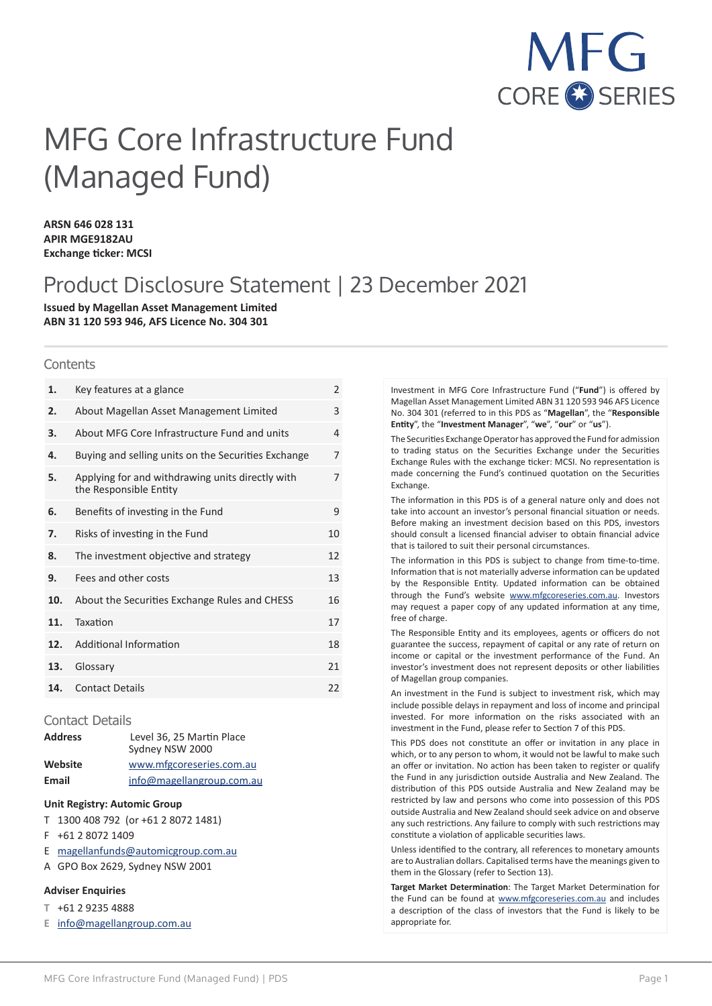

# MFG Core Infrastructure Fund (Managed Fund)

**ARSN 646 028 131 APIR MGE9182AU Exchange ticker: MCSI**

## Product Disclosure Statement | 23 December 2021

**Issued by Magellan Asset Management Limited ABN 31 120 593 946, AFS Licence No. 304 301**

#### **Contents**

| Key features at a glance                                                   | $\overline{2}$ |
|----------------------------------------------------------------------------|----------------|
| About Magellan Asset Management Limited                                    | 3              |
| About MFG Core Infrastructure Fund and units                               | 4              |
| Buying and selling units on the Securities Exchange                        | 7              |
| Applying for and withdrawing units directly with<br>the Responsible Entity | 7              |
| Benefits of investing in the Fund                                          | 9              |
| Risks of investing in the Fund                                             | 10             |
| The investment objective and strategy                                      | 12             |
| Fees and other costs                                                       | 13             |
| About the Securities Exchange Rules and CHESS                              | 16             |
| Taxation                                                                   | 17             |
| Additional Information                                                     | 18             |
| Glossary                                                                   | 21             |
| <b>Contact Details</b>                                                     | 22             |
|                                                                            |                |

### Contact Details

| <b>Address</b> | Level 36, 25 Martin Place<br>Sydney NSW 2000 |
|----------------|----------------------------------------------|
| Website        | www.mfgcoreseries.com.au                     |
| Email          | info@magellangroup.com.au                    |

## **Unit Registry: Automic Group**

- T 1300 408 792 (or +61 2 8072 1481)
- F +61 2 8072 1409
- E magellanfunds@automicgroup.com.au
- A GPO Box 2629, Sydney NSW 2001

## **Adviser Enquiries**

- **T** +61 2 9235 4888
- **E** info@magellangroup.com.au

Investment in MFG Core Infrastructure Fund ("**Fund**") is offered by Magellan Asset Management Limited ABN 31 120 593 946 AFS Licence No. 304 301 (referred to in this PDS as "**Magellan**", the "**Responsible Entity**", the "**Investment Manager**", "**we**", "**our**" or "**us**").

The Securities Exchange Operator has approved the Fund for admission to trading status on the Securities Exchange under the Securities Exchange Rules with the exchange ticker: MCSI. No representation is made concerning the Fund's continued quotation on the Securities Exchange.

The information in this PDS is of a general nature only and does not take into account an investor's personal financial situation or needs. Before making an investment decision based on this PDS, investors should consult a licensed financial adviser to obtain financial advice that is tailored to suit their personal circumstances.

The information in this PDS is subject to change from time-to-time. Information that is not materially adverse information can be updated by the Responsible Entity. Updated information can be obtained through the Fund's website www.mfgcoreseries.com.au. Investors may request a paper copy of any updated information at any time, free of charge.

The Responsible Entity and its employees, agents or officers do not guarantee the success, repayment of capital or any rate of return on income or capital or the investment performance of the Fund. An investor's investment does not represent deposits or other liabilities of Magellan group companies.

An investment in the Fund is subject to investment risk, which may include possible delays in repayment and loss of income and principal invested. For more information on the risks associated with an investment in the Fund, please refer to Section 7 of this PDS.

This PDS does not constitute an offer or invitation in any place in which, or to any person to whom, it would not be lawful to make such an offer or invitation. No action has been taken to register or qualify the Fund in any jurisdiction outside Australia and New Zealand. The distribution of this PDS outside Australia and New Zealand may be restricted by law and persons who come into possession of this PDS outside Australia and New Zealand should seek advice on and observe any such restrictions. Any failure to comply with such restrictions may constitute a violation of applicable securities laws.

Unless identified to the contrary, all references to monetary amounts are to Australian dollars. Capitalised terms have the meanings given to them in the Glossary (refer to Section 13).

**Target Market Determination**: The Target Market Determination for the Fund can be found at www.mfgcoreseries.com.au and includes a description of the class of investors that the Fund is likely to be appropriate for.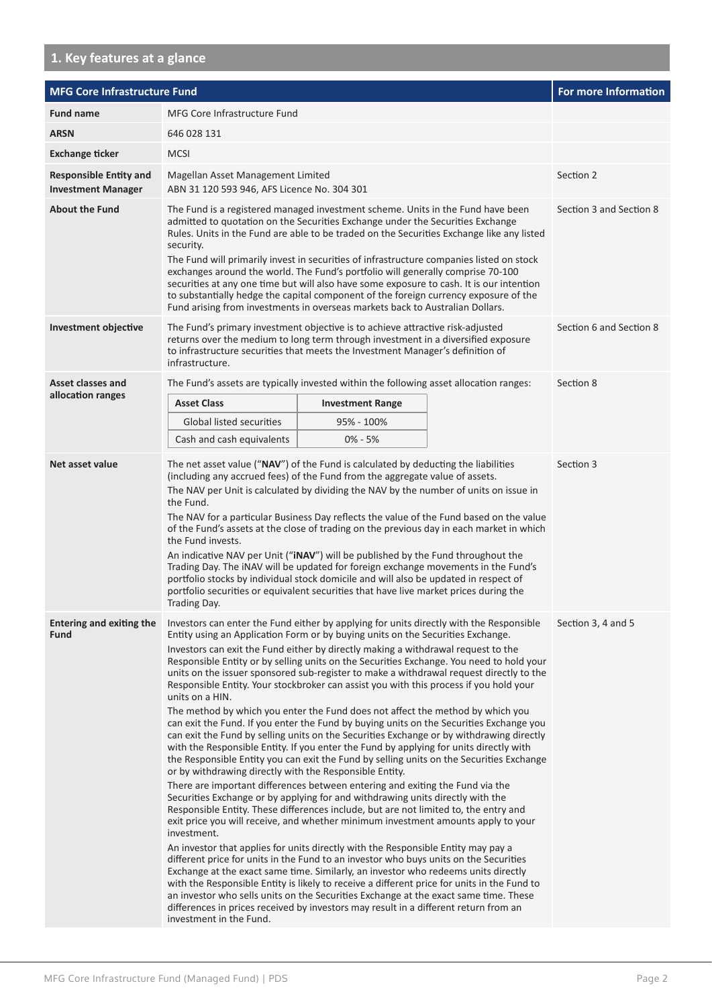## **1. Key features at a glance**

| <b>MFG Core Infrastructure Fund</b>                        |                                                                                                                                                                                                                                                                                                                                                                                                                                                                                                                                                                                                                                                                                                                                                                                                                                                                                                                                                                                                                                                                                                                                                                                                                                                                                                                                                                                                                                                                                                                                                                                                                                                                                                                                                                                                                                                                                                                                                                                                                                                            |                         |                    | <b>For more Information</b> |
|------------------------------------------------------------|------------------------------------------------------------------------------------------------------------------------------------------------------------------------------------------------------------------------------------------------------------------------------------------------------------------------------------------------------------------------------------------------------------------------------------------------------------------------------------------------------------------------------------------------------------------------------------------------------------------------------------------------------------------------------------------------------------------------------------------------------------------------------------------------------------------------------------------------------------------------------------------------------------------------------------------------------------------------------------------------------------------------------------------------------------------------------------------------------------------------------------------------------------------------------------------------------------------------------------------------------------------------------------------------------------------------------------------------------------------------------------------------------------------------------------------------------------------------------------------------------------------------------------------------------------------------------------------------------------------------------------------------------------------------------------------------------------------------------------------------------------------------------------------------------------------------------------------------------------------------------------------------------------------------------------------------------------------------------------------------------------------------------------------------------------|-------------------------|--------------------|-----------------------------|
| <b>Fund name</b>                                           | MFG Core Infrastructure Fund                                                                                                                                                                                                                                                                                                                                                                                                                                                                                                                                                                                                                                                                                                                                                                                                                                                                                                                                                                                                                                                                                                                                                                                                                                                                                                                                                                                                                                                                                                                                                                                                                                                                                                                                                                                                                                                                                                                                                                                                                               |                         |                    |                             |
| <b>ARSN</b>                                                | 646 028 131                                                                                                                                                                                                                                                                                                                                                                                                                                                                                                                                                                                                                                                                                                                                                                                                                                                                                                                                                                                                                                                                                                                                                                                                                                                                                                                                                                                                                                                                                                                                                                                                                                                                                                                                                                                                                                                                                                                                                                                                                                                |                         |                    |                             |
| <b>Exchange ticker</b>                                     | <b>MCSI</b>                                                                                                                                                                                                                                                                                                                                                                                                                                                                                                                                                                                                                                                                                                                                                                                                                                                                                                                                                                                                                                                                                                                                                                                                                                                                                                                                                                                                                                                                                                                                                                                                                                                                                                                                                                                                                                                                                                                                                                                                                                                |                         |                    |                             |
| <b>Responsible Entity and</b><br><b>Investment Manager</b> | Magellan Asset Management Limited<br>ABN 31 120 593 946, AFS Licence No. 304 301                                                                                                                                                                                                                                                                                                                                                                                                                                                                                                                                                                                                                                                                                                                                                                                                                                                                                                                                                                                                                                                                                                                                                                                                                                                                                                                                                                                                                                                                                                                                                                                                                                                                                                                                                                                                                                                                                                                                                                           |                         |                    | Section 2                   |
| <b>About the Fund</b>                                      | The Fund is a registered managed investment scheme. Units in the Fund have been<br>admitted to quotation on the Securities Exchange under the Securities Exchange<br>Rules. Units in the Fund are able to be traded on the Securities Exchange like any listed<br>security.<br>The Fund will primarily invest in securities of infrastructure companies listed on stock<br>exchanges around the world. The Fund's portfolio will generally comprise 70-100<br>securities at any one time but will also have some exposure to cash. It is our intention<br>to substantially hedge the capital component of the foreign currency exposure of the<br>Fund arising from investments in overseas markets back to Australian Dollars.                                                                                                                                                                                                                                                                                                                                                                                                                                                                                                                                                                                                                                                                                                                                                                                                                                                                                                                                                                                                                                                                                                                                                                                                                                                                                                                            |                         |                    | Section 3 and Section 8     |
| <b>Investment objective</b>                                | The Fund's primary investment objective is to achieve attractive risk-adjusted<br>returns over the medium to long term through investment in a diversified exposure<br>to infrastructure securities that meets the Investment Manager's definition of<br>infrastructure.                                                                                                                                                                                                                                                                                                                                                                                                                                                                                                                                                                                                                                                                                                                                                                                                                                                                                                                                                                                                                                                                                                                                                                                                                                                                                                                                                                                                                                                                                                                                                                                                                                                                                                                                                                                   |                         |                    | Section 6 and Section 8     |
| Asset classes and                                          | The Fund's assets are typically invested within the following asset allocation ranges:                                                                                                                                                                                                                                                                                                                                                                                                                                                                                                                                                                                                                                                                                                                                                                                                                                                                                                                                                                                                                                                                                                                                                                                                                                                                                                                                                                                                                                                                                                                                                                                                                                                                                                                                                                                                                                                                                                                                                                     |                         |                    | Section 8                   |
| allocation ranges                                          | <b>Asset Class</b>                                                                                                                                                                                                                                                                                                                                                                                                                                                                                                                                                                                                                                                                                                                                                                                                                                                                                                                                                                                                                                                                                                                                                                                                                                                                                                                                                                                                                                                                                                                                                                                                                                                                                                                                                                                                                                                                                                                                                                                                                                         | <b>Investment Range</b> |                    |                             |
|                                                            | Global listed securities                                                                                                                                                                                                                                                                                                                                                                                                                                                                                                                                                                                                                                                                                                                                                                                                                                                                                                                                                                                                                                                                                                                                                                                                                                                                                                                                                                                                                                                                                                                                                                                                                                                                                                                                                                                                                                                                                                                                                                                                                                   | 95% - 100%              |                    |                             |
|                                                            | Cash and cash equivalents                                                                                                                                                                                                                                                                                                                                                                                                                                                                                                                                                                                                                                                                                                                                                                                                                                                                                                                                                                                                                                                                                                                                                                                                                                                                                                                                                                                                                                                                                                                                                                                                                                                                                                                                                                                                                                                                                                                                                                                                                                  | $0\% - 5\%$             |                    |                             |
| Net asset value                                            | The net asset value ("NAV") of the Fund is calculated by deducting the liabilities<br>(including any accrued fees) of the Fund from the aggregate value of assets.<br>The NAV per Unit is calculated by dividing the NAV by the number of units on issue in<br>the Fund.<br>The NAV for a particular Business Day reflects the value of the Fund based on the value<br>of the Fund's assets at the close of trading on the previous day in each market in which<br>the Fund invests.<br>An indicative NAV per Unit ("iNAV") will be published by the Fund throughout the<br>Trading Day. The iNAV will be updated for foreign exchange movements in the Fund's<br>portfolio stocks by individual stock domicile and will also be updated in respect of<br>portfolio securities or equivalent securities that have live market prices during the                                                                                                                                                                                                                                                                                                                                                                                                                                                                                                                                                                                                                                                                                                                                                                                                                                                                                                                                                                                                                                                                                                                                                                                                            |                         |                    | Section 3                   |
| <b>Entering and exiting the</b><br><b>Fund</b>             | Trading Day.<br>Investors can enter the Fund either by applying for units directly with the Responsible<br>Entity using an Application Form or by buying units on the Securities Exchange.<br>Investors can exit the Fund either by directly making a withdrawal request to the<br>Responsible Entity or by selling units on the Securities Exchange. You need to hold your<br>units on the issuer sponsored sub-register to make a withdrawal request directly to the<br>Responsible Entity. Your stockbroker can assist you with this process if you hold your<br>units on a HIN.<br>The method by which you enter the Fund does not affect the method by which you<br>can exit the Fund. If you enter the Fund by buying units on the Securities Exchange you<br>can exit the Fund by selling units on the Securities Exchange or by withdrawing directly<br>with the Responsible Entity. If you enter the Fund by applying for units directly with<br>the Responsible Entity you can exit the Fund by selling units on the Securities Exchange<br>or by withdrawing directly with the Responsible Entity.<br>There are important differences between entering and exiting the Fund via the<br>Securities Exchange or by applying for and withdrawing units directly with the<br>Responsible Entity. These differences include, but are not limited to, the entry and<br>exit price you will receive, and whether minimum investment amounts apply to your<br>investment.<br>An investor that applies for units directly with the Responsible Entity may pay a<br>different price for units in the Fund to an investor who buys units on the Securities<br>Exchange at the exact same time. Similarly, an investor who redeems units directly<br>with the Responsible Entity is likely to receive a different price for units in the Fund to<br>an investor who sells units on the Securities Exchange at the exact same time. These<br>differences in prices received by investors may result in a different return from an<br>investment in the Fund. |                         | Section 3, 4 and 5 |                             |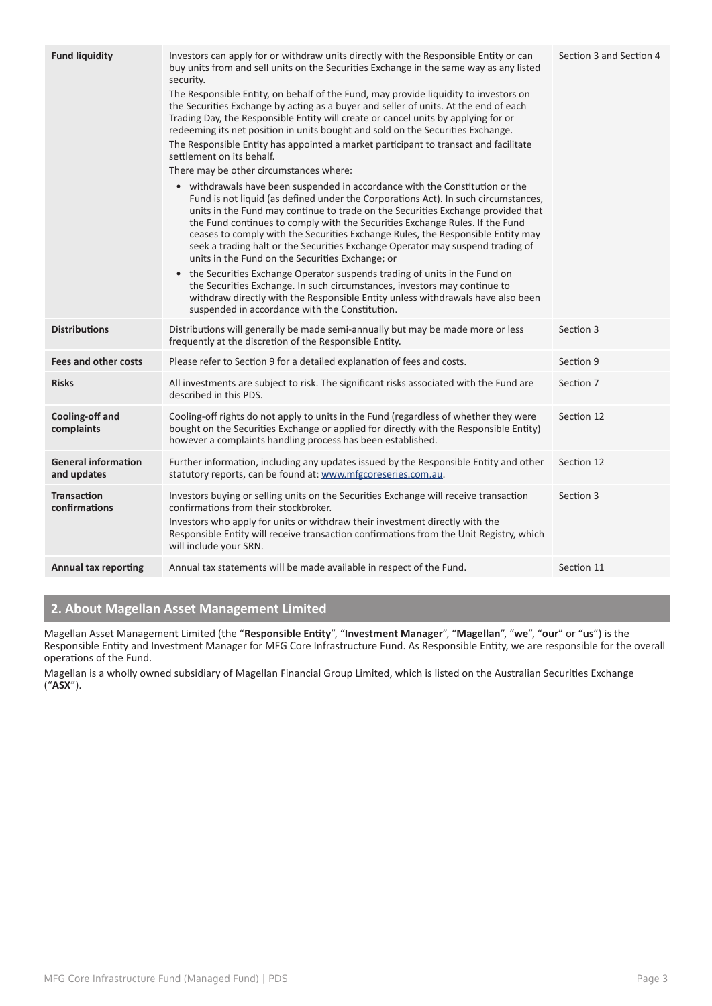| <b>Fund liquidity</b>                     | Investors can apply for or withdraw units directly with the Responsible Entity or can<br>buy units from and sell units on the Securities Exchange in the same way as any listed<br>security.<br>The Responsible Entity, on behalf of the Fund, may provide liquidity to investors on<br>the Securities Exchange by acting as a buyer and seller of units. At the end of each<br>Trading Day, the Responsible Entity will create or cancel units by applying for or<br>redeeming its net position in units bought and sold on the Securities Exchange.<br>The Responsible Entity has appointed a market participant to transact and facilitate<br>settlement on its behalf.<br>There may be other circumstances where:<br>• withdrawals have been suspended in accordance with the Constitution or the<br>Fund is not liquid (as defined under the Corporations Act). In such circumstances,<br>units in the Fund may continue to trade on the Securities Exchange provided that<br>the Fund continues to comply with the Securities Exchange Rules. If the Fund<br>ceases to comply with the Securities Exchange Rules, the Responsible Entity may<br>seek a trading halt or the Securities Exchange Operator may suspend trading of<br>units in the Fund on the Securities Exchange; or<br>• the Securities Exchange Operator suspends trading of units in the Fund on<br>the Securities Exchange. In such circumstances, investors may continue to<br>withdraw directly with the Responsible Entity unless withdrawals have also been<br>suspended in accordance with the Constitution. | Section 3 and Section 4 |
|-------------------------------------------|-------------------------------------------------------------------------------------------------------------------------------------------------------------------------------------------------------------------------------------------------------------------------------------------------------------------------------------------------------------------------------------------------------------------------------------------------------------------------------------------------------------------------------------------------------------------------------------------------------------------------------------------------------------------------------------------------------------------------------------------------------------------------------------------------------------------------------------------------------------------------------------------------------------------------------------------------------------------------------------------------------------------------------------------------------------------------------------------------------------------------------------------------------------------------------------------------------------------------------------------------------------------------------------------------------------------------------------------------------------------------------------------------------------------------------------------------------------------------------------------------------------------------------------------------------------------------------------------|-------------------------|
| <b>Distributions</b>                      | Distributions will generally be made semi-annually but may be made more or less<br>frequently at the discretion of the Responsible Entity.                                                                                                                                                                                                                                                                                                                                                                                                                                                                                                                                                                                                                                                                                                                                                                                                                                                                                                                                                                                                                                                                                                                                                                                                                                                                                                                                                                                                                                                | Section 3               |
| <b>Fees and other costs</b>               | Please refer to Section 9 for a detailed explanation of fees and costs.                                                                                                                                                                                                                                                                                                                                                                                                                                                                                                                                                                                                                                                                                                                                                                                                                                                                                                                                                                                                                                                                                                                                                                                                                                                                                                                                                                                                                                                                                                                   | Section 9               |
| <b>Risks</b>                              | All investments are subject to risk. The significant risks associated with the Fund are<br>described in this PDS.                                                                                                                                                                                                                                                                                                                                                                                                                                                                                                                                                                                                                                                                                                                                                                                                                                                                                                                                                                                                                                                                                                                                                                                                                                                                                                                                                                                                                                                                         | Section 7               |
| Cooling-off and<br>complaints             | Cooling-off rights do not apply to units in the Fund (regardless of whether they were<br>bought on the Securities Exchange or applied for directly with the Responsible Entity)<br>however a complaints handling process has been established.                                                                                                                                                                                                                                                                                                                                                                                                                                                                                                                                                                                                                                                                                                                                                                                                                                                                                                                                                                                                                                                                                                                                                                                                                                                                                                                                            | Section 12              |
| <b>General information</b><br>and updates | Further information, including any updates issued by the Responsible Entity and other<br>statutory reports, can be found at: www.mfgcoreseries.com.au.                                                                                                                                                                                                                                                                                                                                                                                                                                                                                                                                                                                                                                                                                                                                                                                                                                                                                                                                                                                                                                                                                                                                                                                                                                                                                                                                                                                                                                    | Section 12              |
| <b>Transaction</b><br>confirmations       | Investors buying or selling units on the Securities Exchange will receive transaction<br>confirmations from their stockbroker.<br>Investors who apply for units or withdraw their investment directly with the<br>Responsible Entity will receive transaction confirmations from the Unit Registry, which<br>will include your SRN.                                                                                                                                                                                                                                                                                                                                                                                                                                                                                                                                                                                                                                                                                                                                                                                                                                                                                                                                                                                                                                                                                                                                                                                                                                                       | Section 3               |
| <b>Annual tax reporting</b>               | Annual tax statements will be made available in respect of the Fund.                                                                                                                                                                                                                                                                                                                                                                                                                                                                                                                                                                                                                                                                                                                                                                                                                                                                                                                                                                                                                                                                                                                                                                                                                                                                                                                                                                                                                                                                                                                      | Section 11              |

## **2. About Magellan Asset Management Limited**

Magellan Asset Management Limited (the "**Responsible Entity**", "**Investment Manager**", "**Magellan**", "**we**", "**our**" or "**us**") is the Responsible Entity and Investment Manager for MFG Core Infrastructure Fund. As Responsible Entity, we are responsible for the overall operations of the Fund.

Magellan is a wholly owned subsidiary of Magellan Financial Group Limited, which is listed on the Australian Securities Exchange ("**ASX**").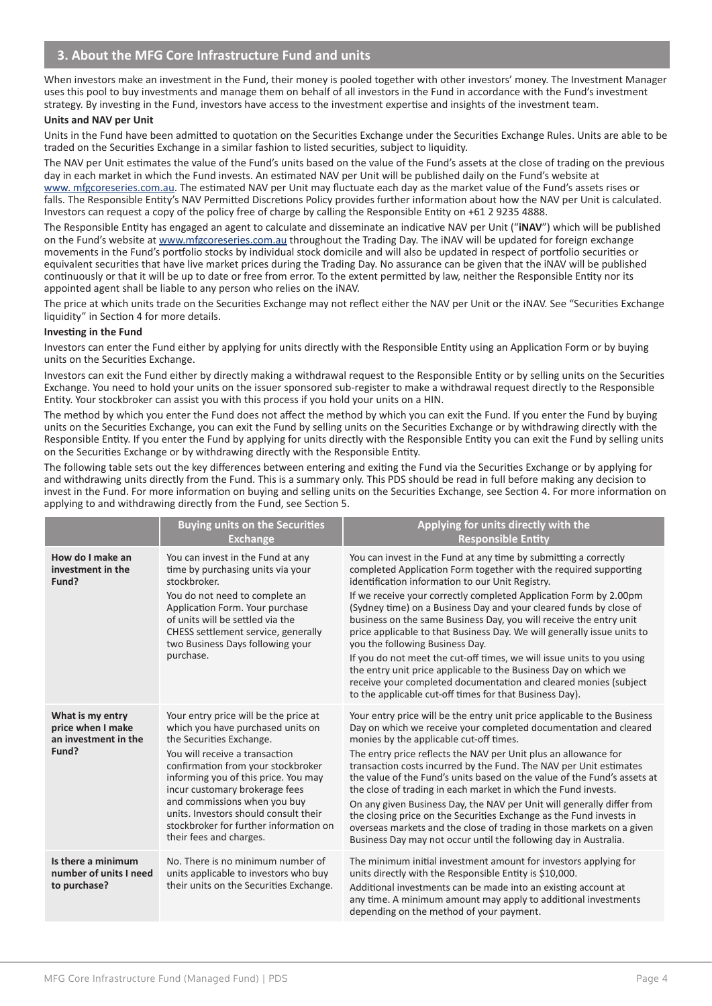When investors make an investment in the Fund, their money is pooled together with other investors' money. The Investment Manager uses this pool to buy investments and manage them on behalf of all investors in the Fund in accordance with the Fund's investment strategy. By investing in the Fund, investors have access to the investment expertise and insights of the investment team.

#### **Units and NAV per Unit**

Units in the Fund have been admitted to quotation on the Securities Exchange under the Securities Exchange Rules. Units are able to be traded on the Securities Exchange in a similar fashion to listed securities, subject to liquidity.

The NAV per Unit estimates the value of the Fund's units based on the value of the Fund's assets at the close of trading on the previous day in each market in which the Fund invests. An estimated NAV per Unit will be published daily on the Fund's website at www. mfgcoreseries.com.au. The estimated NAV per Unit may fluctuate each day as the market value of the Fund's assets rises or falls. The Responsible Entity's NAV Permitted Discretions Policy provides further information about how the NAV per Unit is calculated.

Investors can request a copy of the policy free of charge by calling the Responsible Entity on +61 2 9235 4888.

The Responsible Entity has engaged an agent to calculate and disseminate an indicative NAV per Unit ("**iNAV**") which will be published on the Fund's website at www.mfgcoreseries.com.au throughout the Trading Day. The iNAV will be updated for foreign exchange movements in the Fund's portfolio stocks by individual stock domicile and will also be updated in respect of portfolio securities or equivalent securities that have live market prices during the Trading Day. No assurance can be given that the iNAV will be published continuously or that it will be up to date or free from error. To the extent permitted by law, neither the Responsible Entity nor its appointed agent shall be liable to any person who relies on the iNAV.

The price at which units trade on the Securities Exchange may not reflect either the NAV per Unit or the iNAV. See "Securities Exchange liquidity" in Section 4 for more details.

#### **Investing in the Fund**

Investors can enter the Fund either by applying for units directly with the Responsible Entity using an Application Form or by buying units on the Securities Exchange.

Investors can exit the Fund either by directly making a withdrawal request to the Responsible Entity or by selling units on the Securities Exchange. You need to hold your units on the issuer sponsored sub-register to make a withdrawal request directly to the Responsible Entity. Your stockbroker can assist you with this process if you hold your units on a HIN.

The method by which you enter the Fund does not affect the method by which you can exit the Fund. If you enter the Fund by buying units on the Securities Exchange, you can exit the Fund by selling units on the Securities Exchange or by withdrawing directly with the Responsible Entity. If you enter the Fund by applying for units directly with the Responsible Entity you can exit the Fund by selling units on the Securities Exchange or by withdrawing directly with the Responsible Entity.

The following table sets out the key differences between entering and exiting the Fund via the Securities Exchange or by applying for and withdrawing units directly from the Fund. This is a summary only. This PDS should be read in full before making any decision to invest in the Fund. For more information on buying and selling units on the Securities Exchange, see Section 4. For more information on applying to and withdrawing directly from the Fund, see Section 5.

|                                                                        | <b>Buying units on the Securities</b><br><b>Exchange</b>                                                                                                                                                                                                                                                                                                                                               | Applying for units directly with the<br><b>Responsible Entity</b>                                                                                                                                                                                                                                                                                                                                                                                                                                                                                                                                                                                                                                                                                                                                   |
|------------------------------------------------------------------------|--------------------------------------------------------------------------------------------------------------------------------------------------------------------------------------------------------------------------------------------------------------------------------------------------------------------------------------------------------------------------------------------------------|-----------------------------------------------------------------------------------------------------------------------------------------------------------------------------------------------------------------------------------------------------------------------------------------------------------------------------------------------------------------------------------------------------------------------------------------------------------------------------------------------------------------------------------------------------------------------------------------------------------------------------------------------------------------------------------------------------------------------------------------------------------------------------------------------------|
| How do I make an<br>investment in the<br>Fund?                         | You can invest in the Fund at any<br>time by purchasing units via your<br>stockbroker.<br>You do not need to complete an<br>Application Form. Your purchase<br>of units will be settled via the<br>CHESS settlement service, generally<br>two Business Days following your<br>purchase.                                                                                                                | You can invest in the Fund at any time by submitting a correctly<br>completed Application Form together with the required supporting<br>identification information to our Unit Registry.<br>If we receive your correctly completed Application Form by 2.00pm<br>(Sydney time) on a Business Day and your cleared funds by close of<br>business on the same Business Day, you will receive the entry unit<br>price applicable to that Business Day. We will generally issue units to<br>you the following Business Day.<br>If you do not meet the cut-off times, we will issue units to you using<br>the entry unit price applicable to the Business Day on which we<br>receive your completed documentation and cleared monies (subject<br>to the applicable cut-off times for that Business Day). |
| What is my entry<br>price when I make<br>an investment in the<br>Fund? | Your entry price will be the price at<br>which you have purchased units on<br>the Securities Exchange.<br>You will receive a transaction<br>confirmation from your stockbroker<br>informing you of this price. You may<br>incur customary brokerage fees<br>and commissions when you buy<br>units. Investors should consult their<br>stockbroker for further information on<br>their fees and charges. | Your entry price will be the entry unit price applicable to the Business<br>Day on which we receive your completed documentation and cleared<br>monies by the applicable cut-off times.<br>The entry price reflects the NAV per Unit plus an allowance for<br>transaction costs incurred by the Fund. The NAV per Unit estimates<br>the value of the Fund's units based on the value of the Fund's assets at<br>the close of trading in each market in which the Fund invests.<br>On any given Business Day, the NAV per Unit will generally differ from<br>the closing price on the Securities Exchange as the Fund invests in<br>overseas markets and the close of trading in those markets on a given<br>Business Day may not occur until the following day in Australia.                        |
| Is there a minimum<br>number of units I need<br>to purchase?           | No. There is no minimum number of<br>units applicable to investors who buy<br>their units on the Securities Exchange.                                                                                                                                                                                                                                                                                  | The minimum initial investment amount for investors applying for<br>units directly with the Responsible Entity is \$10,000.<br>Additional investments can be made into an existing account at<br>any time. A minimum amount may apply to additional investments<br>depending on the method of your payment.                                                                                                                                                                                                                                                                                                                                                                                                                                                                                         |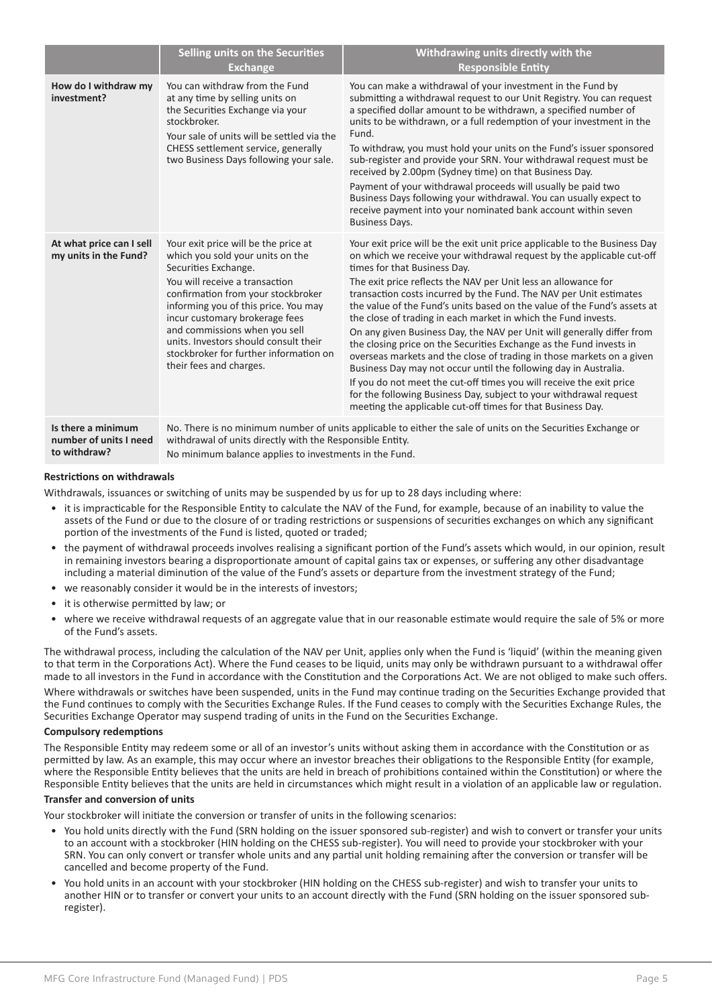|                                                              | Selling units on the Securities<br><b>Exchange</b>                                                                                                                                                                                                                                                                                                                                                | Withdrawing units directly with the<br><b>Responsible Entity</b>                                                                                                                                                                                                                                                                                                                                                                                                                                                                                                                                                                                                                                                                                                                                                                                                                                                                                                                     |
|--------------------------------------------------------------|---------------------------------------------------------------------------------------------------------------------------------------------------------------------------------------------------------------------------------------------------------------------------------------------------------------------------------------------------------------------------------------------------|--------------------------------------------------------------------------------------------------------------------------------------------------------------------------------------------------------------------------------------------------------------------------------------------------------------------------------------------------------------------------------------------------------------------------------------------------------------------------------------------------------------------------------------------------------------------------------------------------------------------------------------------------------------------------------------------------------------------------------------------------------------------------------------------------------------------------------------------------------------------------------------------------------------------------------------------------------------------------------------|
| How do I withdraw my<br>investment?                          | You can withdraw from the Fund<br>at any time by selling units on<br>the Securities Exchange via your<br>stockbroker.<br>Your sale of units will be settled via the<br>CHESS settlement service, generally<br>two Business Days following your sale.                                                                                                                                              | You can make a withdrawal of your investment in the Fund by<br>submitting a withdrawal request to our Unit Registry. You can request<br>a specified dollar amount to be withdrawn, a specified number of<br>units to be withdrawn, or a full redemption of your investment in the<br>Fund.<br>To withdraw, you must hold your units on the Fund's issuer sponsored<br>sub-register and provide your SRN. Your withdrawal request must be<br>received by 2.00pm (Sydney time) on that Business Day.<br>Payment of your withdrawal proceeds will usually be paid two<br>Business Days following your withdrawal. You can usually expect to<br>receive payment into your nominated bank account within seven<br><b>Business Days.</b>                                                                                                                                                                                                                                                   |
| At what price can I sell<br>my units in the Fund?            | Your exit price will be the price at<br>which you sold your units on the<br>Securities Exchange.<br>You will receive a transaction<br>confirmation from your stockbroker<br>informing you of this price. You may<br>incur customary brokerage fees<br>and commissions when you sell<br>units. Investors should consult their<br>stockbroker for further information on<br>their fees and charges. | Your exit price will be the exit unit price applicable to the Business Day<br>on which we receive your withdrawal request by the applicable cut-off<br>times for that Business Day.<br>The exit price reflects the NAV per Unit less an allowance for<br>transaction costs incurred by the Fund. The NAV per Unit estimates<br>the value of the Fund's units based on the value of the Fund's assets at<br>the close of trading in each market in which the Fund invests.<br>On any given Business Day, the NAV per Unit will generally differ from<br>the closing price on the Securities Exchange as the Fund invests in<br>overseas markets and the close of trading in those markets on a given<br>Business Day may not occur until the following day in Australia.<br>If you do not meet the cut-off times you will receive the exit price<br>for the following Business Day, subject to your withdrawal request<br>meeting the applicable cut-off times for that Business Day. |
| Is there a minimum<br>number of units I need<br>to withdraw? | withdrawal of units directly with the Responsible Entity.<br>No minimum balance applies to investments in the Fund.                                                                                                                                                                                                                                                                               | No. There is no minimum number of units applicable to either the sale of units on the Securities Exchange or                                                                                                                                                                                                                                                                                                                                                                                                                                                                                                                                                                                                                                                                                                                                                                                                                                                                         |

#### **Restrictions on withdrawals**

Withdrawals, issuances or switching of units may be suspended by us for up to 28 days including where:

- it is impracticable for the Responsible Entity to calculate the NAV of the Fund, for example, because of an inability to value the assets of the Fund or due to the closure of or trading restrictions or suspensions of securities exchanges on which any significant portion of the investments of the Fund is listed, quoted or traded;
- the payment of withdrawal proceeds involves realising a significant portion of the Fund's assets which would, in our opinion, result in remaining investors bearing a disproportionate amount of capital gains tax or expenses, or suffering any other disadvantage including a material diminution of the value of the Fund's assets or departure from the investment strategy of the Fund;
- we reasonably consider it would be in the interests of investors;
- it is otherwise permitted by law; or
- where we receive withdrawal requests of an aggregate value that in our reasonable estimate would require the sale of 5% or more of the Fund's assets.

The withdrawal process, including the calculation of the NAV per Unit, applies only when the Fund is 'liquid' (within the meaning given to that term in the Corporations Act). Where the Fund ceases to be liquid, units may only be withdrawn pursuant to a withdrawal offer made to all investors in the Fund in accordance with the Constitution and the Corporations Act. We are not obliged to make such offers.

Where withdrawals or switches have been suspended, units in the Fund may continue trading on the Securities Exchange provided that the Fund continues to comply with the Securities Exchange Rules. If the Fund ceases to comply with the Securities Exchange Rules, the Securities Exchange Operator may suspend trading of units in the Fund on the Securities Exchange.

#### **Compulsory redemptions**

The Responsible Entity may redeem some or all of an investor's units without asking them in accordance with the Constitution or as permitted by law. As an example, this may occur where an investor breaches their obligations to the Responsible Entity (for example, where the Responsible Entity believes that the units are held in breach of prohibitions contained within the Constitution) or where the Responsible Entity believes that the units are held in circumstances which might result in a violation of an applicable law or regulation.

#### **Transfer and conversion of units**

Your stockbroker will initiate the conversion or transfer of units in the following scenarios:

- You hold units directly with the Fund (SRN holding on the issuer sponsored sub-register) and wish to convert or transfer your units to an account with a stockbroker (HIN holding on the CHESS sub-register). You will need to provide your stockbroker with your SRN. You can only convert or transfer whole units and any partial unit holding remaining after the conversion or transfer will be cancelled and become property of the Fund.
- You hold units in an account with your stockbroker (HIN holding on the CHESS sub-register) and wish to transfer your units to another HIN or to transfer or convert your units to an account directly with the Fund (SRN holding on the issuer sponsored subregister).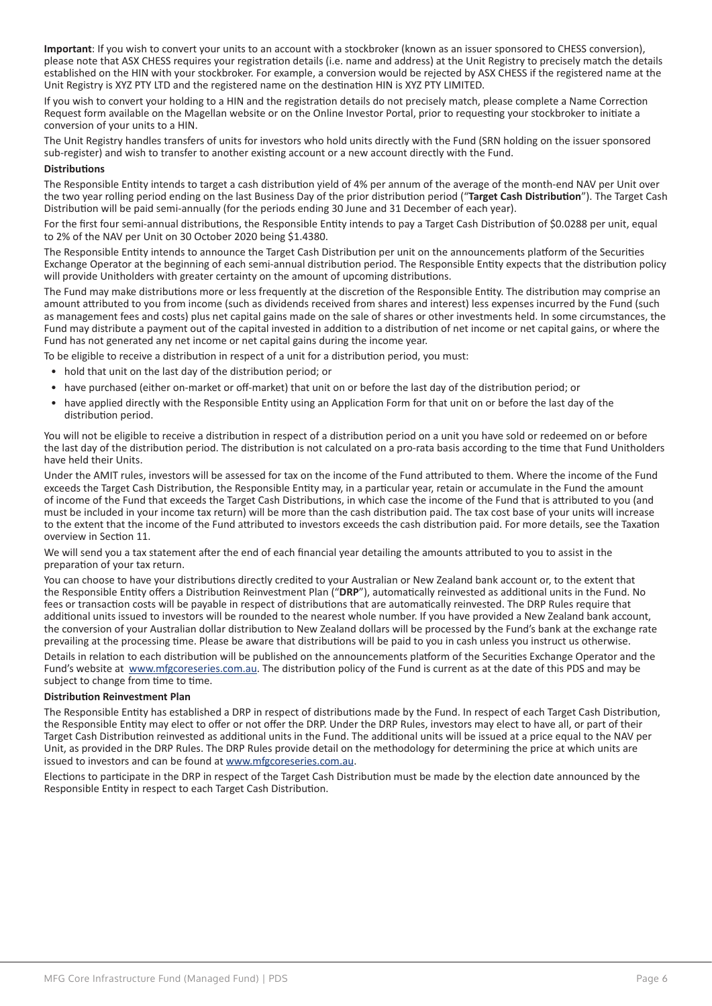**Important**: If you wish to convert your units to an account with a stockbroker (known as an issuer sponsored to CHESS conversion), please note that ASX CHESS requires your registration details (i.e. name and address) at the Unit Registry to precisely match the details established on the HIN with your stockbroker. For example, a conversion would be rejected by ASX CHESS if the registered name at the Unit Registry is XYZ PTY LTD and the registered name on the destination HIN is XYZ PTY LIMITED.

If you wish to convert your holding to a HIN and the registration details do not precisely match, please complete a Name Correction Request form available on the Magellan website or on the Online Investor Portal, prior to requesting your stockbroker to initiate a conversion of your units to a HIN.

The Unit Registry handles transfers of units for investors who hold units directly with the Fund (SRN holding on the issuer sponsored sub-register) and wish to transfer to another existing account or a new account directly with the Fund.

#### **Distributions**

The Responsible Entity intends to target a cash distribution yield of 4% per annum of the average of the month-end NAV per Unit over the two year rolling period ending on the last Business Day of the prior distribution period ("**Target Cash Distribution**"). The Target Cash Distribution will be paid semi-annually (for the periods ending 30 June and 31 December of each year).

For the first four semi-annual distributions, the Responsible Entity intends to pay a Target Cash Distribution of \$0.0288 per unit, equal to 2% of the NAV per Unit on 30 October 2020 being \$1.4380.

The Responsible Entity intends to announce the Target Cash Distribution per unit on the announcements platform of the Securities Exchange Operator at the beginning of each semi-annual distribution period. The Responsible Entity expects that the distribution policy will provide Unitholders with greater certainty on the amount of upcoming distributions.

The Fund may make distributions more or less frequently at the discretion of the Responsible Entity. The distribution may comprise an amount attributed to you from income (such as dividends received from shares and interest) less expenses incurred by the Fund (such as management fees and costs) plus net capital gains made on the sale of shares or other investments held. In some circumstances, the Fund may distribute a payment out of the capital invested in addition to a distribution of net income or net capital gains, or where the Fund has not generated any net income or net capital gains during the income year.

To be eligible to receive a distribution in respect of a unit for a distribution period, you must:

- hold that unit on the last day of the distribution period; or
- have purchased (either on-market or off-market) that unit on or before the last day of the distribution period; or
- have applied directly with the Responsible Entity using an Application Form for that unit on or before the last day of the distribution period.

You will not be eligible to receive a distribution in respect of a distribution period on a unit you have sold or redeemed on or before the last day of the distribution period. The distribution is not calculated on a pro-rata basis according to the time that Fund Unitholders have held their Units.

Under the AMIT rules, investors will be assessed for tax on the income of the Fund attributed to them. Where the income of the Fund exceeds the Target Cash Distribution, the Responsible Entity may, in a particular year, retain or accumulate in the Fund the amount of income of the Fund that exceeds the Target Cash Distributions, in which case the income of the Fund that is attributed to you (and must be included in your income tax return) will be more than the cash distribution paid. The tax cost base of your units will increase to the extent that the income of the Fund attributed to investors exceeds the cash distribution paid. For more details, see the Taxation overview in Section 11.

We will send you a tax statement after the end of each financial year detailing the amounts attributed to you to assist in the preparation of your tax return.

You can choose to have your distributions directly credited to your Australian or New Zealand bank account or, to the extent that the Responsible Entity offers a Distribution Reinvestment Plan ("**DRP**"), automatically reinvested as additional units in the Fund. No fees or transaction costs will be payable in respect of distributions that are automatically reinvested. The DRP Rules require that additional units issued to investors will be rounded to the nearest whole number. If you have provided a New Zealand bank account, the conversion of your Australian dollar distribution to New Zealand dollars will be processed by the Fund's bank at the exchange rate prevailing at the processing time. Please be aware that distributions will be paid to you in cash unless you instruct us otherwise.

Details in relation to each distribution will be published on the announcements platform of the Securities Exchange Operator and the Fund's website at www.mfgcoreseries.com.au. The distribution policy of the Fund is current as at the date of this PDS and may be subject to change from time to time.

#### **Distribution Reinvestment Plan**

The Responsible Entity has established a DRP in respect of distributions made by the Fund. In respect of each Target Cash Distribution, the Responsible Entity may elect to offer or not offer the DRP. Under the DRP Rules, investors may elect to have all, or part of their Target Cash Distribution reinvested as additional units in the Fund. The additional units will be issued at a price equal to the NAV per Unit, as provided in the DRP Rules. The DRP Rules provide detail on the methodology for determining the price at which units are issued to investors and can be found at www.mfgcoreseries.com.au.

Elections to participate in the DRP in respect of the Target Cash Distribution must be made by the election date announced by the Responsible Entity in respect to each Target Cash Distribution.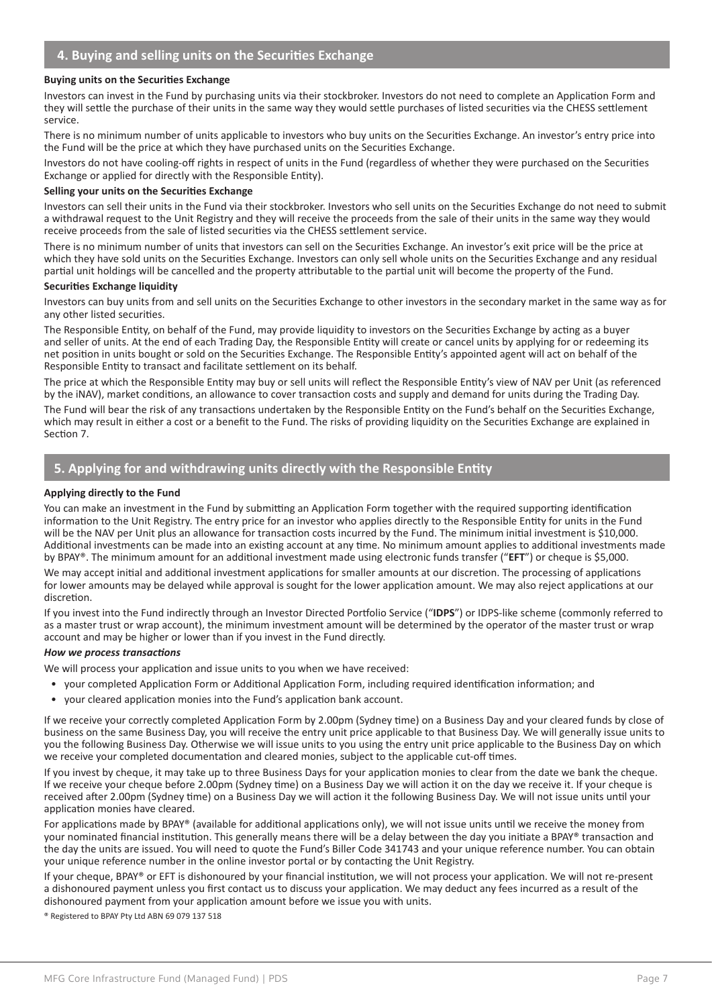#### **Buying units on the Securities Exchange**

Investors can invest in the Fund by purchasing units via their stockbroker. Investors do not need to complete an Application Form and they will settle the purchase of their units in the same way they would settle purchases of listed securities via the CHESS settlement service.

There is no minimum number of units applicable to investors who buy units on the Securities Exchange. An investor's entry price into the Fund will be the price at which they have purchased units on the Securities Exchange.

Investors do not have cooling-off rights in respect of units in the Fund (regardless of whether they were purchased on the Securities Exchange or applied for directly with the Responsible Entity).

#### **Selling your units on the Securities Exchange**

Investors can sell their units in the Fund via their stockbroker. Investors who sell units on the Securities Exchange do not need to submit a withdrawal request to the Unit Registry and they will receive the proceeds from the sale of their units in the same way they would receive proceeds from the sale of listed securities via the CHESS settlement service.

There is no minimum number of units that investors can sell on the Securities Exchange. An investor's exit price will be the price at which they have sold units on the Securities Exchange. Investors can only sell whole units on the Securities Exchange and any residual partial unit holdings will be cancelled and the property attributable to the partial unit will become the property of the Fund.

#### **Securities Exchange liquidity**

Investors can buy units from and sell units on the Securities Exchange to other investors in the secondary market in the same way as for any other listed securities.

The Responsible Entity, on behalf of the Fund, may provide liquidity to investors on the Securities Exchange by acting as a buyer and seller of units. At the end of each Trading Day, the Responsible Entity will create or cancel units by applying for or redeeming its net position in units bought or sold on the Securities Exchange. The Responsible Entity's appointed agent will act on behalf of the Responsible Entity to transact and facilitate settlement on its behalf.

The price at which the Responsible Entity may buy or sell units will reflect the Responsible Entity's view of NAV per Unit (as referenced by the iNAV), market conditions, an allowance to cover transaction costs and supply and demand for units during the Trading Day.

The Fund will bear the risk of any transactions undertaken by the Responsible Entity on the Fund's behalf on the Securities Exchange, which may result in either a cost or a benefit to the Fund. The risks of providing liquidity on the Securities Exchange are explained in Section 7.

## **5. Applying for and withdrawing units directly with the Responsible Entity**

#### **Applying directly to the Fund**

You can make an investment in the Fund by submitting an Application Form together with the required supporting identification information to the Unit Registry. The entry price for an investor who applies directly to the Responsible Entity for units in the Fund will be the NAV per Unit plus an allowance for transaction costs incurred by the Fund. The minimum initial investment is \$10,000. Additional investments can be made into an existing account at any time. No minimum amount applies to additional investments made by BPAY®. The minimum amount for an additional investment made using electronic funds transfer ("**EFT**") or cheque is \$5,000.

We may accept initial and additional investment applications for smaller amounts at our discretion. The processing of applications for lower amounts may be delayed while approval is sought for the lower application amount. We may also reject applications at our discretion.

If you invest into the Fund indirectly through an Investor Directed Portfolio Service ("**IDPS**") or IDPS-like scheme (commonly referred to as a master trust or wrap account), the minimum investment amount will be determined by the operator of the master trust or wrap account and may be higher or lower than if you invest in the Fund directly.

#### *How we process transactions*

We will process your application and issue units to you when we have received:

- your completed Application Form or Additional Application Form, including required identification information; and
- your cleared application monies into the Fund's application bank account.

If we receive your correctly completed Application Form by 2.00pm (Sydney time) on a Business Day and your cleared funds by close of business on the same Business Day, you will receive the entry unit price applicable to that Business Day. We will generally issue units to you the following Business Day. Otherwise we will issue units to you using the entry unit price applicable to the Business Day on which we receive your completed documentation and cleared monies, subject to the applicable cut-off times.

If you invest by cheque, it may take up to three Business Days for your application monies to clear from the date we bank the cheque. If we receive your cheque before 2.00pm (Sydney time) on a Business Day we will action it on the day we receive it. If your cheque is received after 2.00pm (Sydney time) on a Business Day we will action it the following Business Day. We will not issue units until your application monies have cleared.

For applications made by BPAY® (available for additional applications only), we will not issue units until we receive the money from your nominated financial institution. This generally means there will be a delay between the day you initiate a BPAY® transaction and the day the units are issued. You will need to quote the Fund's Biller Code 341743 and your unique reference number. You can obtain your unique reference number in the online investor portal or by contacting the Unit Registry.

If your cheque, BPAY® or EFT is dishonoured by your financial institution, we will not process your application. We will not re-present a dishonoured payment unless you first contact us to discuss your application. We may deduct any fees incurred as a result of the dishonoured payment from your application amount before we issue you with units.

® Registered to BPAY Pty Ltd ABN 69 079 137 518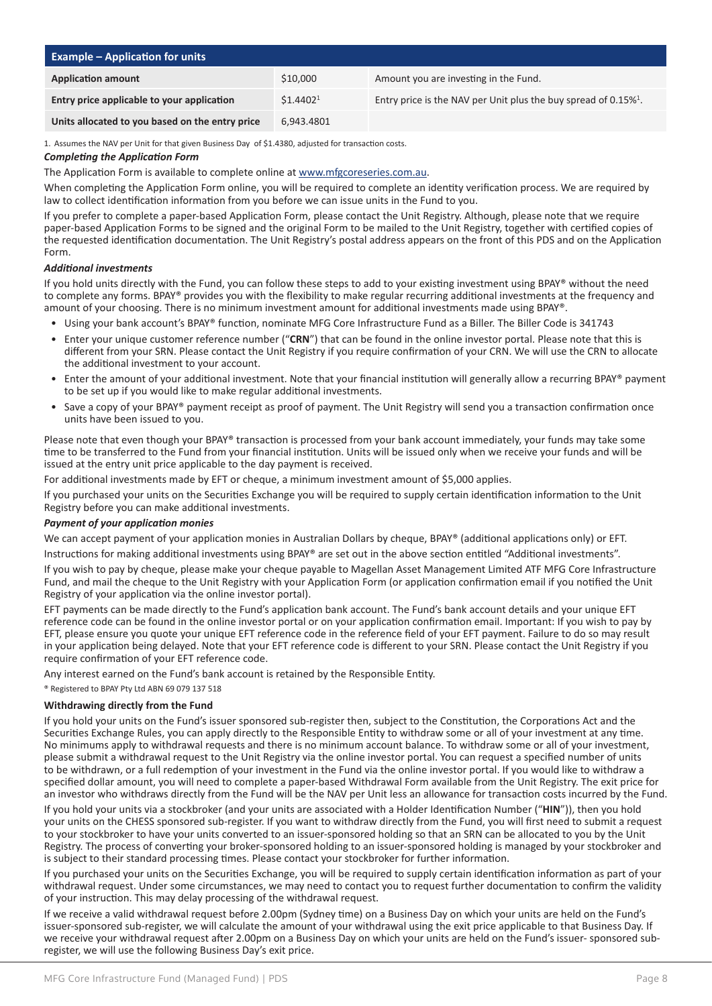| <b>Example – Application for units</b>          |                       |                                                                                |
|-------------------------------------------------|-----------------------|--------------------------------------------------------------------------------|
| <b>Application amount</b>                       | \$10,000              | Amount you are investing in the Fund.                                          |
| Entry price applicable to your application      | \$1.4402 <sup>1</sup> | Entry price is the NAV per Unit plus the buy spread of $0.15\%$ <sup>1</sup> . |
| Units allocated to you based on the entry price | 6.943.4801            |                                                                                |

1. Assumes the NAV per Unit for that given Business Day of \$1.4380, adjusted for transaction costs.

#### *Completing the Application Form*

The Application Form is available to complete online at www.mfgcoreseries.com.au.

When completing the Application Form online, you will be required to complete an identity verification process. We are required by law to collect identification information from you before we can issue units in the Fund to you.

If you prefer to complete a paper-based Application Form, please contact the Unit Registry. Although, please note that we require paper-based Application Forms to be signed and the original Form to be mailed to the Unit Registry, together with certified copies of the requested identification documentation. The Unit Registry's postal address appears on the front of this PDS and on the Application Form.

#### *Additional investments*

If you hold units directly with the Fund, you can follow these steps to add to your existing investment using BPAY® without the need to complete any forms. BPAY® provides you with the flexibility to make regular recurring additional investments at the frequency and amount of your choosing. There is no minimum investment amount for additional investments made using BPAY®.

- Using your bank account's BPAY® function, nominate MFG Core Infrastructure Fund as a Biller. The Biller Code is 341743
- Enter your unique customer reference number ("**CRN**") that can be found in the online investor portal. Please note that this is different from your SRN. Please contact the Unit Registry if you require confirmation of your CRN. We will use the CRN to allocate the additional investment to your account.
- Enter the amount of your additional investment. Note that your financial institution will generally allow a recurring BPAY® payment to be set up if you would like to make regular additional investments.
- Save a copy of your BPAY® payment receipt as proof of payment. The Unit Registry will send you a transaction confirmation once units have been issued to you.

Please note that even though your BPAY® transaction is processed from your bank account immediately, your funds may take some time to be transferred to the Fund from your financial institution. Units will be issued only when we receive your funds and will be issued at the entry unit price applicable to the day payment is received.

For additional investments made by EFT or cheque, a minimum investment amount of \$5,000 applies.

If you purchased your units on the Securities Exchange you will be required to supply certain identification information to the Unit Registry before you can make additional investments.

#### *Payment of your application monies*

We can accept payment of your application monies in Australian Dollars by cheque, BPAY® (additional applications only) or EFT.

Instructions for making additional investments using BPAY® are set out in the above section entitled "Additional investments".

If you wish to pay by cheque, please make your cheque payable to Magellan Asset Management Limited ATF MFG Core Infrastructure Fund, and mail the cheque to the Unit Registry with your Application Form (or application confirmation email if you notified the Unit Registry of your application via the online investor portal).

EFT payments can be made directly to the Fund's application bank account. The Fund's bank account details and your unique EFT reference code can be found in the online investor portal or on your application confirmation email. Important: If you wish to pay by EFT, please ensure you quote your unique EFT reference code in the reference field of your EFT payment. Failure to do so may result in your application being delayed. Note that your EFT reference code is different to your SRN. Please contact the Unit Registry if you require confirmation of your EFT reference code.

Any interest earned on the Fund's bank account is retained by the Responsible Entity.

® Registered to BPAY Pty Ltd ABN 69 079 137 518

#### **Withdrawing directly from the Fund**

If you hold your units on the Fund's issuer sponsored sub-register then, subject to the Constitution, the Corporations Act and the Securities Exchange Rules, you can apply directly to the Responsible Entity to withdraw some or all of your investment at any time. No minimums apply to withdrawal requests and there is no minimum account balance. To withdraw some or all of your investment, please submit a withdrawal request to the Unit Registry via the online investor portal. You can request a specified number of units to be withdrawn, or a full redemption of your investment in the Fund via the online investor portal. If you would like to withdraw a specified dollar amount, you will need to complete a paper-based Withdrawal Form available from the Unit Registry. The exit price for an investor who withdraws directly from the Fund will be the NAV per Unit less an allowance for transaction costs incurred by the Fund.

If you hold your units via a stockbroker (and your units are associated with a Holder Identification Number ("**HIN**")), then you hold your units on the CHESS sponsored sub-register. If you want to withdraw directly from the Fund, you will first need to submit a request to your stockbroker to have your units converted to an issuer-sponsored holding so that an SRN can be allocated to you by the Unit Registry. The process of converting your broker-sponsored holding to an issuer-sponsored holding is managed by your stockbroker and is subject to their standard processing times. Please contact your stockbroker for further information.

If you purchased your units on the Securities Exchange, you will be required to supply certain identification information as part of your withdrawal request. Under some circumstances, we may need to contact you to request further documentation to confirm the validity of your instruction. This may delay processing of the withdrawal request.

If we receive a valid withdrawal request before 2.00pm (Sydney time) on a Business Day on which your units are held on the Fund's issuer-sponsored sub-register, we will calculate the amount of your withdrawal using the exit price applicable to that Business Day. If we receive your withdrawal request after 2.00pm on a Business Day on which your units are held on the Fund's issuer- sponsored subregister, we will use the following Business Day's exit price.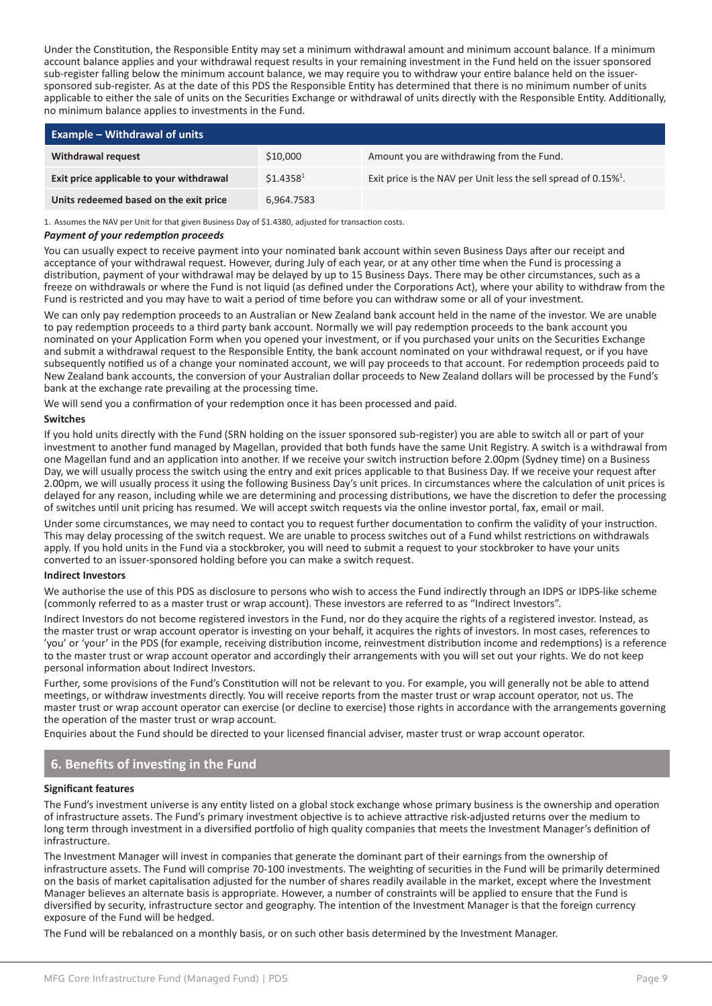Under the Constitution, the Responsible Entity may set a minimum withdrawal amount and minimum account balance. If a minimum account balance applies and your withdrawal request results in your remaining investment in the Fund held on the issuer sponsored sub-register falling below the minimum account balance, we may require you to withdraw your entire balance held on the issuersponsored sub-register. As at the date of this PDS the Responsible Entity has determined that there is no minimum number of units applicable to either the sale of units on the Securities Exchange or withdrawal of units directly with the Responsible Entity. Additionally, no minimum balance applies to investments in the Fund.

| <b>Example – Withdrawal of units</b>     |                       |                                                                                |
|------------------------------------------|-----------------------|--------------------------------------------------------------------------------|
| <b>Withdrawal request</b>                | \$10,000              | Amount you are withdrawing from the Fund.                                      |
| Exit price applicable to your withdrawal | \$1.4358 <sup>1</sup> | Exit price is the NAV per Unit less the sell spread of $0.15\%$ <sup>1</sup> . |
| Units redeemed based on the exit price   | 6.964.7583            |                                                                                |

1. Assumes the NAV per Unit for that given Business Day of \$1.4380, adjusted for transaction costs.

#### *Payment of your redemption proceeds*

You can usually expect to receive payment into your nominated bank account within seven Business Days after our receipt and acceptance of your withdrawal request. However, during July of each year, or at any other time when the Fund is processing a distribution, payment of your withdrawal may be delayed by up to 15 Business Days. There may be other circumstances, such as a freeze on withdrawals or where the Fund is not liquid (as defined under the Corporations Act), where your ability to withdraw from the Fund is restricted and you may have to wait a period of time before you can withdraw some or all of your investment.

We can only pay redemption proceeds to an Australian or New Zealand bank account held in the name of the investor. We are unable to pay redemption proceeds to a third party bank account. Normally we will pay redemption proceeds to the bank account you nominated on your Application Form when you opened your investment, or if you purchased your units on the Securities Exchange and submit a withdrawal request to the Responsible Entity, the bank account nominated on your withdrawal request, or if you have subsequently notified us of a change your nominated account, we will pay proceeds to that account. For redemption proceeds paid to New Zealand bank accounts, the conversion of your Australian dollar proceeds to New Zealand dollars will be processed by the Fund's bank at the exchange rate prevailing at the processing time.

We will send you a confirmation of your redemption once it has been processed and paid.

#### **Switches**

If you hold units directly with the Fund (SRN holding on the issuer sponsored sub-register) you are able to switch all or part of your investment to another fund managed by Magellan, provided that both funds have the same Unit Registry. A switch is a withdrawal from one Magellan fund and an application into another. If we receive your switch instruction before 2.00pm (Sydney time) on a Business Day, we will usually process the switch using the entry and exit prices applicable to that Business Day. If we receive your request after 2.00pm, we will usually process it using the following Business Day's unit prices. In circumstances where the calculation of unit prices is delayed for any reason, including while we are determining and processing distributions, we have the discretion to defer the processing of switches until unit pricing has resumed. We will accept switch requests via the online investor portal, fax, email or mail.

Under some circumstances, we may need to contact you to request further documentation to confirm the validity of your instruction. This may delay processing of the switch request. We are unable to process switches out of a Fund whilst restrictions on withdrawals apply. If you hold units in the Fund via a stockbroker, you will need to submit a request to your stockbroker to have your units converted to an issuer-sponsored holding before you can make a switch request.

#### **Indirect Investors**

We authorise the use of this PDS as disclosure to persons who wish to access the Fund indirectly through an IDPS or IDPS-like scheme (commonly referred to as a master trust or wrap account). These investors are referred to as "Indirect Investors".

Indirect Investors do not become registered investors in the Fund, nor do they acquire the rights of a registered investor. Instead, as the master trust or wrap account operator is investing on your behalf, it acquires the rights of investors. In most cases, references to 'you' or 'your' in the PDS (for example, receiving distribution income, reinvestment distribution income and redemptions) is a reference to the master trust or wrap account operator and accordingly their arrangements with you will set out your rights. We do not keep personal information about Indirect Investors.

Further, some provisions of the Fund's Constitution will not be relevant to you. For example, you will generally not be able to attend meetings, or withdraw investments directly. You will receive reports from the master trust or wrap account operator, not us. The master trust or wrap account operator can exercise (or decline to exercise) those rights in accordance with the arrangements governing the operation of the master trust or wrap account.

Enquiries about the Fund should be directed to your licensed financial adviser, master trust or wrap account operator.

## **6. Benefits of investing in the Fund**

#### **Significant features**

The Fund's investment universe is any entity listed on a global stock exchange whose primary business is the ownership and operation of infrastructure assets. The Fund's primary investment objective is to achieve attractive risk-adjusted returns over the medium to long term through investment in a diversified portfolio of high quality companies that meets the Investment Manager's definition of infrastructure.

The Investment Manager will invest in companies that generate the dominant part of their earnings from the ownership of infrastructure assets. The Fund will comprise 70-100 investments. The weighting of securities in the Fund will be primarily determined on the basis of market capitalisation adjusted for the number of shares readily available in the market, except where the Investment Manager believes an alternate basis is appropriate. However, a number of constraints will be applied to ensure that the Fund is diversified by security, infrastructure sector and geography. The intention of the Investment Manager is that the foreign currency exposure of the Fund will be hedged.

The Fund will be rebalanced on a monthly basis, or on such other basis determined by the Investment Manager.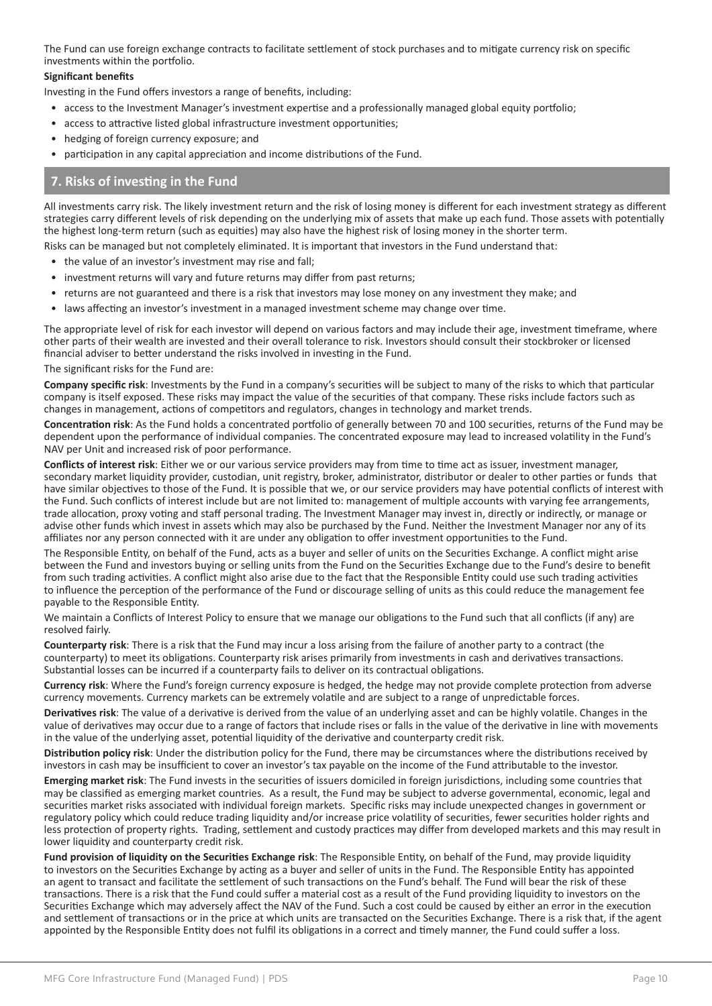The Fund can use foreign exchange contracts to facilitate settlement of stock purchases and to mitigate currency risk on specific investments within the portfolio.

#### **Significant benefits**

Investing in the Fund offers investors a range of benefits, including:

- access to the Investment Manager's investment expertise and a professionally managed global equity portfolio;
- access to attractive listed global infrastructure investment opportunities;
- hedging of foreign currency exposure; and
- participation in any capital appreciation and income distributions of the Fund.

## **7. Risks of investing in the Fund**

All investments carry risk. The likely investment return and the risk of losing money is different for each investment strategy as different strategies carry different levels of risk depending on the underlying mix of assets that make up each fund. Those assets with potentially the highest long-term return (such as equities) may also have the highest risk of losing money in the shorter term.

Risks can be managed but not completely eliminated. It is important that investors in the Fund understand that:

- the value of an investor's investment may rise and fall;
- investment returns will vary and future returns may differ from past returns;
- returns are not guaranteed and there is a risk that investors may lose money on any investment they make; and
- laws affecting an investor's investment in a managed investment scheme may change over time.

The appropriate level of risk for each investor will depend on various factors and may include their age, investment timeframe, where other parts of their wealth are invested and their overall tolerance to risk. Investors should consult their stockbroker or licensed financial adviser to better understand the risks involved in investing in the Fund.

The significant risks for the Fund are:

**Company specific risk**: Investments by the Fund in a company's securities will be subject to many of the risks to which that particular company is itself exposed. These risks may impact the value of the securities of that company. These risks include factors such as changes in management, actions of competitors and regulators, changes in technology and market trends.

**Concentration risk**: As the Fund holds a concentrated portfolio of generally between 70 and 100 securities, returns of the Fund may be dependent upon the performance of individual companies. The concentrated exposure may lead to increased volatility in the Fund's NAV per Unit and increased risk of poor performance.

**Conflicts of interest risk**: Either we or our various service providers may from time to time act as issuer, investment manager, secondary market liquidity provider, custodian, unit registry, broker, administrator, distributor or dealer to other parties or funds that have similar objectives to those of the Fund. It is possible that we, or our service providers may have potential conflicts of interest with the Fund. Such conflicts of interest include but are not limited to: management of multiple accounts with varying fee arrangements, trade allocation, proxy voting and staff personal trading. The Investment Manager may invest in, directly or indirectly, or manage or advise other funds which invest in assets which may also be purchased by the Fund. Neither the Investment Manager nor any of its affiliates nor any person connected with it are under any obligation to offer investment opportunities to the Fund.

The Responsible Entity, on behalf of the Fund, acts as a buyer and seller of units on the Securities Exchange. A conflict might arise between the Fund and investors buying or selling units from the Fund on the Securities Exchange due to the Fund's desire to benefit from such trading activities. A conflict might also arise due to the fact that the Responsible Entity could use such trading activities to influence the perception of the performance of the Fund or discourage selling of units as this could reduce the management fee payable to the Responsible Entity.

We maintain a Conflicts of Interest Policy to ensure that we manage our obligations to the Fund such that all conflicts (if any) are resolved fairly.

**Counterparty risk**: There is a risk that the Fund may incur a loss arising from the failure of another party to a contract (the counterparty) to meet its obligations. Counterparty risk arises primarily from investments in cash and derivatives transactions. Substantial losses can be incurred if a counterparty fails to deliver on its contractual obligations.

**Currency risk**: Where the Fund's foreign currency exposure is hedged, the hedge may not provide complete protection from adverse currency movements. Currency markets can be extremely volatile and are subject to a range of unpredictable forces.

**Derivatives risk**: The value of a derivative is derived from the value of an underlying asset and can be highly volatile. Changes in the value of derivatives may occur due to a range of factors that include rises or falls in the value of the derivative in line with movements in the value of the underlying asset, potential liquidity of the derivative and counterparty credit risk.

**Distribution policy risk**: Under the distribution policy for the Fund, there may be circumstances where the distributions received by investors in cash may be insufficient to cover an investor's tax payable on the income of the Fund attributable to the investor.

**Emerging market risk**: The Fund invests in the securities of issuers domiciled in foreign jurisdictions, including some countries that may be classified as emerging market countries. As a result, the Fund may be subject to adverse governmental, economic, legal and securities market risks associated with individual foreign markets. Specific risks may include unexpected changes in government or regulatory policy which could reduce trading liquidity and/or increase price volatility of securities, fewer securities holder rights and less protection of property rights. Trading, settlement and custody practices may differ from developed markets and this may result in lower liquidity and counterparty credit risk.

**Fund provision of liquidity on the Securities Exchange risk**: The Responsible Entity, on behalf of the Fund, may provide liquidity to investors on the Securities Exchange by acting as a buyer and seller of units in the Fund. The Responsible Entity has appointed an agent to transact and facilitate the settlement of such transactions on the Fund's behalf. The Fund will bear the risk of these transactions. There is a risk that the Fund could suffer a material cost as a result of the Fund providing liquidity to investors on the Securities Exchange which may adversely affect the NAV of the Fund. Such a cost could be caused by either an error in the execution and settlement of transactions or in the price at which units are transacted on the Securities Exchange. There is a risk that, if the agent appointed by the Responsible Entity does not fulfil its obligations in a correct and timely manner, the Fund could suffer a loss.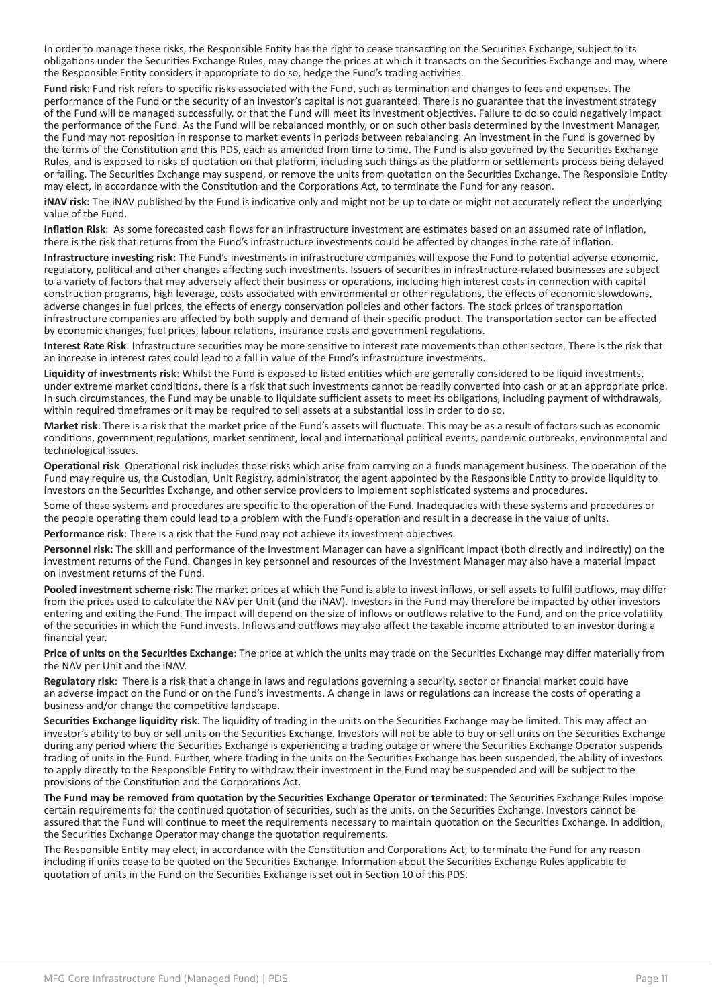In order to manage these risks, the Responsible Entity has the right to cease transacting on the Securities Exchange, subject to its obligations under the Securities Exchange Rules, may change the prices at which it transacts on the Securities Exchange and may, where the Responsible Entity considers it appropriate to do so, hedge the Fund's trading activities.

**Fund risk**: Fund risk refers to specific risks associated with the Fund, such as termination and changes to fees and expenses. The performance of the Fund or the security of an investor's capital is not guaranteed. There is no guarantee that the investment strategy of the Fund will be managed successfully, or that the Fund will meet its investment objectives. Failure to do so could negatively impact the performance of the Fund. As the Fund will be rebalanced monthly, or on such other basis determined by the Investment Manager, the Fund may not reposition in response to market events in periods between rebalancing. An investment in the Fund is governed by the terms of the Constitution and this PDS, each as amended from time to time. The Fund is also governed by the Securities Exchange Rules, and is exposed to risks of quotation on that platform, including such things as the platform or settlements process being delayed or failing. The Securities Exchange may suspend, or remove the units from quotation on the Securities Exchange. The Responsible Entity may elect, in accordance with the Constitution and the Corporations Act, to terminate the Fund for any reason.

**iNAV risk:** The iNAV published by the Fund is indicative only and might not be up to date or might not accurately reflect the underlying value of the Fund.

**Inflation Risk**: As some forecasted cash flows for an infrastructure investment are estimates based on an assumed rate of inflation, there is the risk that returns from the Fund's infrastructure investments could be affected by changes in the rate of inflation.

**Infrastructure investing risk**: The Fund's investments in infrastructure companies will expose the Fund to potential adverse economic, regulatory, political and other changes affecting such investments. Issuers of securities in infrastructure-related businesses are subject to a variety of factors that may adversely affect their business or operations, including high interest costs in connection with capital construction programs, high leverage, costs associated with environmental or other regulations, the effects of economic slowdowns, adverse changes in fuel prices, the effects of energy conservation policies and other factors. The stock prices of transportation infrastructure companies are affected by both supply and demand of their specific product. The transportation sector can be affected by economic changes, fuel prices, labour relations, insurance costs and government regulations.

**Interest Rate Risk**: Infrastructure securities may be more sensitive to interest rate movements than other sectors. There is the risk that an increase in interest rates could lead to a fall in value of the Fund's infrastructure investments.

Liquidity of investments risk: Whilst the Fund is exposed to listed entities which are generally considered to be liquid investments, under extreme market conditions, there is a risk that such investments cannot be readily converted into cash or at an appropriate price. In such circumstances, the Fund may be unable to liquidate sufficient assets to meet its obligations, including payment of withdrawals, within required timeframes or it may be required to sell assets at a substantial loss in order to do so.

**Market risk**: There is a risk that the market price of the Fund's assets will fluctuate. This may be as a result of factors such as economic conditions, government regulations, market sentiment, local and international political events, pandemic outbreaks, environmental and technological issues.

**Operational risk**: Operational risk includes those risks which arise from carrying on a funds management business. The operation of the Fund may require us, the Custodian, Unit Registry, administrator, the agent appointed by the Responsible Entity to provide liquidity to investors on the Securities Exchange, and other service providers to implement sophisticated systems and procedures.

Some of these systems and procedures are specific to the operation of the Fund. Inadequacies with these systems and procedures or the people operating them could lead to a problem with the Fund's operation and result in a decrease in the value of units.

**Performance risk**: There is a risk that the Fund may not achieve its investment objectives.

**Personnel risk**: The skill and performance of the Investment Manager can have a significant impact (both directly and indirectly) on the investment returns of the Fund. Changes in key personnel and resources of the Investment Manager may also have a material impact on investment returns of the Fund.

**Pooled investment scheme risk**: The market prices at which the Fund is able to invest inflows, or sell assets to fulfil outflows, may differ from the prices used to calculate the NAV per Unit (and the iNAV). Investors in the Fund may therefore be impacted by other investors entering and exiting the Fund. The impact will depend on the size of inflows or outflows relative to the Fund, and on the price volatility of the securities in which the Fund invests. Inflows and outflows may also affect the taxable income attributed to an investor during a financial year.

**Price of units on the Securities Exchange**: The price at which the units may trade on the Securities Exchange may differ materially from the NAV per Unit and the iNAV.

**Regulatory risk**: There is a risk that a change in laws and regulations governing a security, sector or financial market could have an adverse impact on the Fund or on the Fund's investments. A change in laws or regulations can increase the costs of operating a business and/or change the competitive landscape.

**Securities Exchange liquidity risk**: The liquidity of trading in the units on the Securities Exchange may be limited. This may affect an investor's ability to buy or sell units on the Securities Exchange. Investors will not be able to buy or sell units on the Securities Exchange during any period where the Securities Exchange is experiencing a trading outage or where the Securities Exchange Operator suspends trading of units in the Fund. Further, where trading in the units on the Securities Exchange has been suspended, the ability of investors to apply directly to the Responsible Entity to withdraw their investment in the Fund may be suspended and will be subject to the provisions of the Constitution and the Corporations Act.

**The Fund may be removed from quotation by the Securities Exchange Operator or terminated**: The Securities Exchange Rules impose certain requirements for the continued quotation of securities, such as the units, on the Securities Exchange. Investors cannot be assured that the Fund will continue to meet the requirements necessary to maintain quotation on the Securities Exchange. In addition, the Securities Exchange Operator may change the quotation requirements.

The Responsible Entity may elect, in accordance with the Constitution and Corporations Act, to terminate the Fund for any reason including if units cease to be quoted on the Securities Exchange. Information about the Securities Exchange Rules applicable to quotation of units in the Fund on the Securities Exchange is set out in Section 10 of this PDS.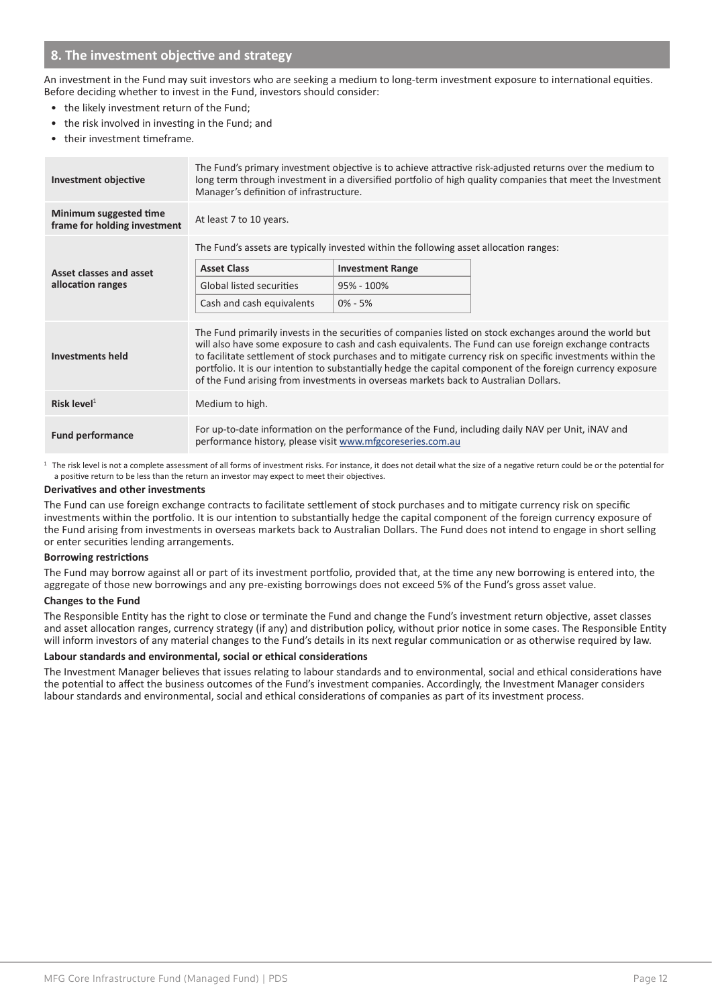## **8. The investment objective and strategy**

An investment in the Fund may suit investors who are seeking a medium to long-term investment exposure to international equities. Before deciding whether to invest in the Fund, investors should consider:

- the likely investment return of the Fund:
- the risk involved in investing in the Fund; and
- their investment timeframe.

| <b>Investment objective</b>                            | The Fund's primary investment objective is to achieve attractive risk-adjusted returns over the medium to<br>long term through investment in a diversified portfolio of high quality companies that meet the Investment<br>Manager's definition of infrastructure.                                                                                                                                                                                                                                                                         |                         |  |
|--------------------------------------------------------|--------------------------------------------------------------------------------------------------------------------------------------------------------------------------------------------------------------------------------------------------------------------------------------------------------------------------------------------------------------------------------------------------------------------------------------------------------------------------------------------------------------------------------------------|-------------------------|--|
| Minimum suggested time<br>frame for holding investment | At least 7 to 10 years.                                                                                                                                                                                                                                                                                                                                                                                                                                                                                                                    |                         |  |
|                                                        | The Fund's assets are typically invested within the following asset allocation ranges:                                                                                                                                                                                                                                                                                                                                                                                                                                                     |                         |  |
| Asset classes and asset                                | <b>Asset Class</b>                                                                                                                                                                                                                                                                                                                                                                                                                                                                                                                         | <b>Investment Range</b> |  |
| allocation ranges                                      | Global listed securities                                                                                                                                                                                                                                                                                                                                                                                                                                                                                                                   | 95% - 100%              |  |
|                                                        | Cash and cash equivalents                                                                                                                                                                                                                                                                                                                                                                                                                                                                                                                  | $0\% - 5\%$             |  |
| <b>Investments held</b>                                | The Fund primarily invests in the securities of companies listed on stock exchanges around the world but<br>will also have some exposure to cash and cash equivalents. The Fund can use foreign exchange contracts<br>to facilitate settlement of stock purchases and to mitigate currency risk on specific investments within the<br>portfolio. It is our intention to substantially hedge the capital component of the foreign currency exposure<br>of the Fund arising from investments in overseas markets back to Australian Dollars. |                         |  |
| Risk level $1$                                         | Medium to high.                                                                                                                                                                                                                                                                                                                                                                                                                                                                                                                            |                         |  |
| <b>Fund performance</b>                                | For up-to-date information on the performance of the Fund, including daily NAV per Unit, iNAV and<br>performance history, please visit www.mfgcoreseries.com.au                                                                                                                                                                                                                                                                                                                                                                            |                         |  |

<sup>1</sup> The risk level is not a complete assessment of all forms of investment risks. For instance, it does not detail what the size of a negative return could be or the potential for a positive return to be less than the return an investor may expect to meet their objectives.

#### **Derivatives and other investments**

The Fund can use foreign exchange contracts to facilitate settlement of stock purchases and to mitigate currency risk on specific investments within the portfolio. It is our intention to substantially hedge the capital component of the foreign currency exposure of the Fund arising from investments in overseas markets back to Australian Dollars. The Fund does not intend to engage in short selling or enter securities lending arrangements.

#### **Borrowing restrictions**

The Fund may borrow against all or part of its investment portfolio, provided that, at the time any new borrowing is entered into, the aggregate of those new borrowings and any pre-existing borrowings does not exceed 5% of the Fund's gross asset value.

#### **Changes to the Fund**

The Responsible Entity has the right to close or terminate the Fund and change the Fund's investment return objective, asset classes and asset allocation ranges, currency strategy (if any) and distribution policy, without prior notice in some cases. The Responsible Entity will inform investors of any material changes to the Fund's details in its next regular communication or as otherwise required by law.

#### **Labour standards and environmental, social or ethical considerations**

The Investment Manager believes that issues relating to labour standards and to environmental, social and ethical considerations have the potential to affect the business outcomes of the Fund's investment companies. Accordingly, the Investment Manager considers labour standards and environmental, social and ethical considerations of companies as part of its investment process.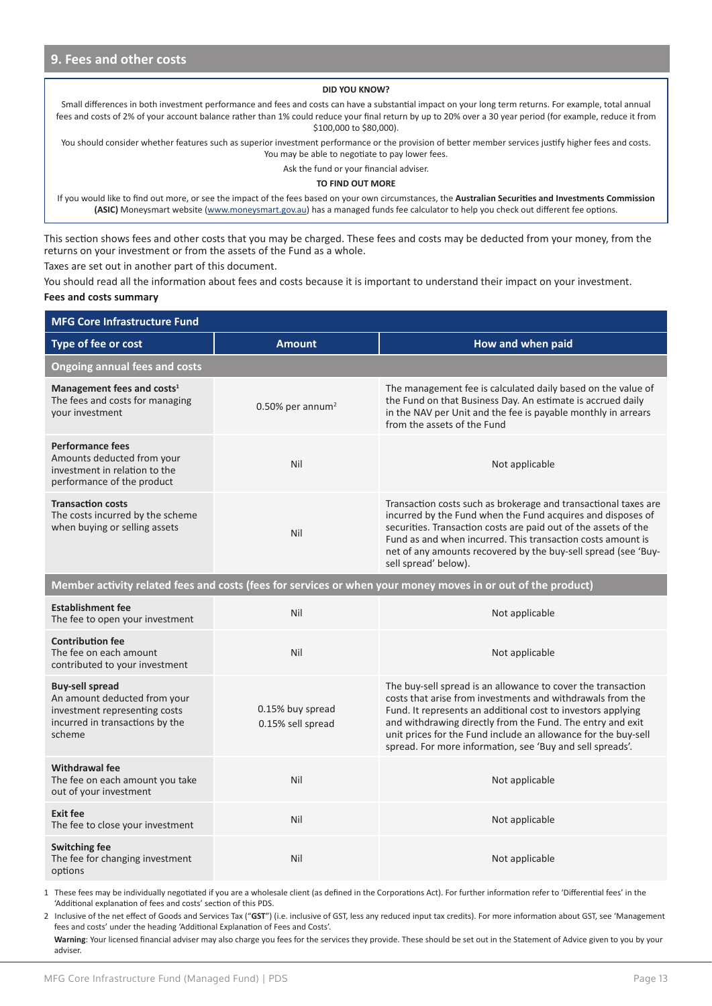## **9. Fees and other costs**

#### **DID YOU KNOW?**

Small differences in both investment performance and fees and costs can have a substantial impact on your long term returns. For example, total annual fees and costs of 2% of your account balance rather than 1% could reduce your final return by up to 20% over a 30 year period (for example, reduce it from \$100,000 to \$80,000).

You should consider whether features such as superior investment performance or the provision of better member services justify higher fees and costs. You may be able to negotiate to pay lower fees.

Ask the fund or your financial adviser.

#### **TO FIND OUT MORE**

If you would like to find out more, or see the impact of the fees based on your own circumstances, the **Australian Securities and Investments Commission (ASIC)** Moneysmart website (www.moneysmart.gov.au) has a managed funds fee calculator to help you check out different fee options.

This section shows fees and other costs that you may be charged. These fees and costs may be deducted from your money, from the returns on your investment or from the assets of the Fund as a whole.

Taxes are set out in another part of this document.

You should read all the information about fees and costs because it is important to understand their impact on your investment. **Fees and costs summary**

| <b>MFG Core Infrastructure Fund</b>                                                                                                  |                                                                                                                                                                                                                                                                |                                                                                                                                                                                                                                                                                                                                                                                         |  |
|--------------------------------------------------------------------------------------------------------------------------------------|----------------------------------------------------------------------------------------------------------------------------------------------------------------------------------------------------------------------------------------------------------------|-----------------------------------------------------------------------------------------------------------------------------------------------------------------------------------------------------------------------------------------------------------------------------------------------------------------------------------------------------------------------------------------|--|
| Type of fee or cost                                                                                                                  | <b>Amount</b>                                                                                                                                                                                                                                                  | How and when paid                                                                                                                                                                                                                                                                                                                                                                       |  |
| <b>Ongoing annual fees and costs</b>                                                                                                 |                                                                                                                                                                                                                                                                |                                                                                                                                                                                                                                                                                                                                                                                         |  |
| Management fees and costs <sup>1</sup><br>The fees and costs for managing<br>your investment                                         | The management fee is calculated daily based on the value of<br>the Fund on that Business Day. An estimate is accrued daily<br>$0.50\%$ per annum <sup>2</sup><br>in the NAV per Unit and the fee is payable monthly in arrears<br>from the assets of the Fund |                                                                                                                                                                                                                                                                                                                                                                                         |  |
| <b>Performance fees</b><br>Amounts deducted from your<br>investment in relation to the<br>performance of the product                 | Nil                                                                                                                                                                                                                                                            | Not applicable                                                                                                                                                                                                                                                                                                                                                                          |  |
| <b>Transaction costs</b><br>The costs incurred by the scheme<br>when buying or selling assets                                        | Nil                                                                                                                                                                                                                                                            | Transaction costs such as brokerage and transactional taxes are<br>incurred by the Fund when the Fund acquires and disposes of<br>securities. Transaction costs are paid out of the assets of the<br>Fund as and when incurred. This transaction costs amount is<br>net of any amounts recovered by the buy-sell spread (see 'Buy-<br>sell spread' below).                              |  |
|                                                                                                                                      |                                                                                                                                                                                                                                                                | Member activity related fees and costs (fees for services or when your money moves in or out of the product)                                                                                                                                                                                                                                                                            |  |
| <b>Establishment fee</b><br>The fee to open your investment                                                                          | Nil                                                                                                                                                                                                                                                            | Not applicable                                                                                                                                                                                                                                                                                                                                                                          |  |
| <b>Contribution fee</b><br>The fee on each amount<br>contributed to your investment                                                  | Nil                                                                                                                                                                                                                                                            | Not applicable                                                                                                                                                                                                                                                                                                                                                                          |  |
| <b>Buy-sell spread</b><br>An amount deducted from your<br>investment representing costs<br>incurred in transactions by the<br>scheme | 0.15% buy spread<br>0.15% sell spread                                                                                                                                                                                                                          | The buy-sell spread is an allowance to cover the transaction<br>costs that arise from investments and withdrawals from the<br>Fund. It represents an additional cost to investors applying<br>and withdrawing directly from the Fund. The entry and exit<br>unit prices for the Fund include an allowance for the buy-sell<br>spread. For more information, see 'Buy and sell spreads'. |  |
| <b>Withdrawal fee</b><br>The fee on each amount you take<br>out of your investment                                                   | Nil                                                                                                                                                                                                                                                            | Not applicable                                                                                                                                                                                                                                                                                                                                                                          |  |
| <b>Exit fee</b><br>The fee to close your investment                                                                                  | Nil                                                                                                                                                                                                                                                            | Not applicable                                                                                                                                                                                                                                                                                                                                                                          |  |
| <b>Switching fee</b><br>The fee for changing investment<br>options                                                                   | Nil                                                                                                                                                                                                                                                            | Not applicable                                                                                                                                                                                                                                                                                                                                                                          |  |

1 These fees may be individually negotiated if you are a wholesale client (as defined in the Corporations Act). For further information refer to 'Differential fees' in the 'Additional explanation of fees and costs' section of this PDS.

2 Inclusive of the net effect of Goods and Services Tax ("**GST**") (i.e. inclusive of GST, less any reduced input tax credits). For more information about GST, see 'Management fees and costs' under the heading 'Additional Explanation of Fees and Costs'. **Warning**: Your licensed financial adviser may also charge you fees for the services they provide. These should be set out in the Statement of Advice given to you by your

adviser.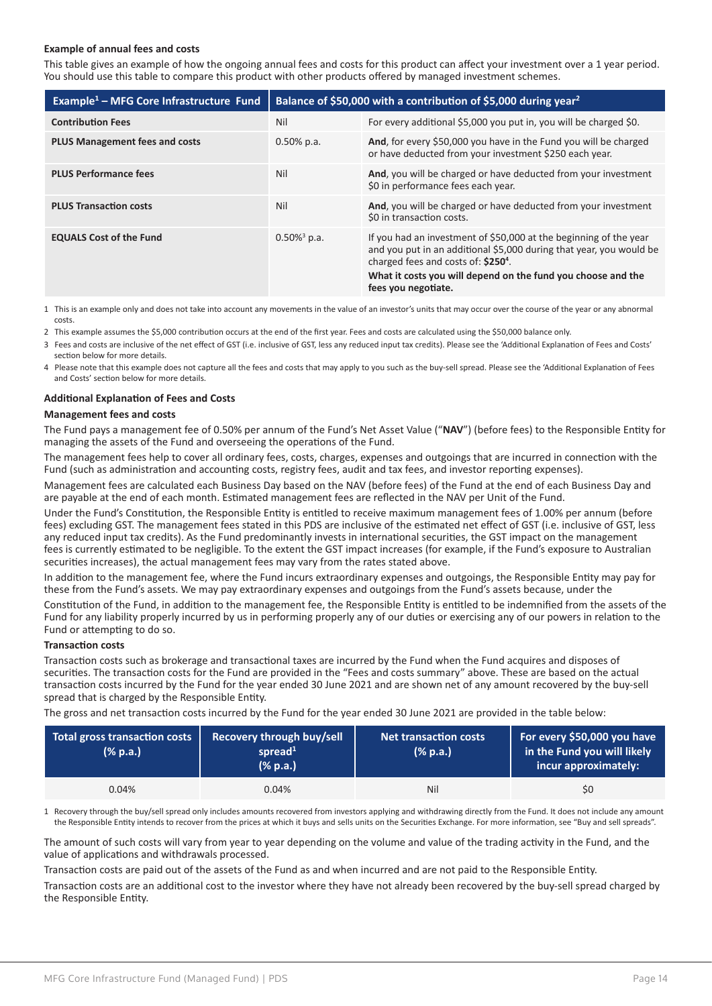#### **Example of annual fees and costs**

This table gives an example of how the ongoing annual fees and costs for this product can affect your investment over a 1 year period. You should use this table to compare this product with other products offered by managed investment schemes.

| Example <sup>1</sup> – MFG Core Infrastructure Fund | Balance of \$50,000 with a contribution of \$5,000 during year <sup>2</sup> |                                                                                                                                                                                                                                                                                    |  |
|-----------------------------------------------------|-----------------------------------------------------------------------------|------------------------------------------------------------------------------------------------------------------------------------------------------------------------------------------------------------------------------------------------------------------------------------|--|
| <b>Contribution Fees</b>                            | Nil                                                                         | For every additional \$5,000 you put in, you will be charged \$0.                                                                                                                                                                                                                  |  |
| <b>PLUS Management fees and costs</b>               | $0.50\%$ p.a.                                                               | And, for every \$50,000 you have in the Fund you will be charged<br>or have deducted from your investment \$250 each year.                                                                                                                                                         |  |
| <b>PLUS Performance fees</b>                        | Nil                                                                         | And, you will be charged or have deducted from your investment<br>\$0 in performance fees each year.                                                                                                                                                                               |  |
| <b>PLUS Transaction costs</b>                       | Nil                                                                         | And, you will be charged or have deducted from your investment<br>\$0 in transaction costs.                                                                                                                                                                                        |  |
| <b>EQUALS Cost of the Fund</b>                      | $0.50\%$ <sup>3</sup> p.a.                                                  | If you had an investment of \$50,000 at the beginning of the year<br>and you put in an additional \$5,000 during that year, you would be<br>charged fees and costs of: \$250 <sup>4</sup> .<br>What it costs you will depend on the fund you choose and the<br>fees you negotiate. |  |

1 This is an example only and does not take into account any movements in the value of an investor's units that may occur over the course of the year or any abnormal costs.

2 This example assumes the \$5,000 contribution occurs at the end of the first year. Fees and costs are calculated using the \$50,000 balance only.

3 Fees and costs are inclusive of the net effect of GST (i.e. inclusive of GST, less any reduced input tax credits). Please see the 'Additional Explanation of Fees and Costs' section below for more details.

4 Please note that this example does not capture all the fees and costs that may apply to you such as the buy-sell spread. Please see the 'Additional Explanation of Fees and Costs' section below for more details.

#### **Additional Explanation of Fees and Costs**

#### **Management fees and costs**

The Fund pays a management fee of 0.50% per annum of the Fund's Net Asset Value ("**NAV**") (before fees) to the Responsible Entity for managing the assets of the Fund and overseeing the operations of the Fund.

The management fees help to cover all ordinary fees, costs, charges, expenses and outgoings that are incurred in connection with the Fund (such as administration and accounting costs, registry fees, audit and tax fees, and investor reporting expenses).

Management fees are calculated each Business Day based on the NAV (before fees) of the Fund at the end of each Business Day and are payable at the end of each month. Estimated management fees are reflected in the NAV per Unit of the Fund.

Under the Fund's Constitution, the Responsible Entity is entitled to receive maximum management fees of 1.00% per annum (before fees) excluding GST. The management fees stated in this PDS are inclusive of the estimated net effect of GST (i.e. inclusive of GST, less any reduced input tax credits). As the Fund predominantly invests in international securities, the GST impact on the management fees is currently estimated to be negligible. To the extent the GST impact increases (for example, if the Fund's exposure to Australian securities increases), the actual management fees may vary from the rates stated above.

In addition to the management fee, where the Fund incurs extraordinary expenses and outgoings, the Responsible Entity may pay for these from the Fund's assets. We may pay extraordinary expenses and outgoings from the Fund's assets because, under the

Constitution of the Fund, in addition to the management fee, the Responsible Entity is entitled to be indemnified from the assets of the Fund for any liability properly incurred by us in performing properly any of our duties or exercising any of our powers in relation to the Fund or attempting to do so.

#### **Transaction costs**

Transaction costs such as brokerage and transactional taxes are incurred by the Fund when the Fund acquires and disposes of securities. The transaction costs for the Fund are provided in the "Fees and costs summary" above. These are based on the actual transaction costs incurred by the Fund for the year ended 30 June 2021 and are shown net of any amount recovered by the buy-sell spread that is charged by the Responsible Entity.

The gross and net transaction costs incurred by the Fund for the year ended 30 June 2021 are provided in the table below:

| <b>Total gross transaction costs</b><br>(% p.a.) | Recovery through buy/sell<br>spread <sup>1</sup><br>(% p.a.) | <b>Net transaction costs</b><br>(% p.a.) | For every \$50,000 you have<br>in the Fund you will likely<br>incur approximately: |
|--------------------------------------------------|--------------------------------------------------------------|------------------------------------------|------------------------------------------------------------------------------------|
| 0.04%                                            | 0.04%                                                        | Nil                                      | S0                                                                                 |

1 Recovery through the buy/sell spread only includes amounts recovered from investors applying and withdrawing directly from the Fund. It does not include any amount the Responsible Entity intends to recover from the prices at which it buys and sells units on the Securities Exchange. For more information, see "Buy and sell spreads".

The amount of such costs will vary from year to year depending on the volume and value of the trading activity in the Fund, and the value of applications and withdrawals processed.

Transaction costs are paid out of the assets of the Fund as and when incurred and are not paid to the Responsible Entity.

Transaction costs are an additional cost to the investor where they have not already been recovered by the buy-sell spread charged by the Responsible Entity.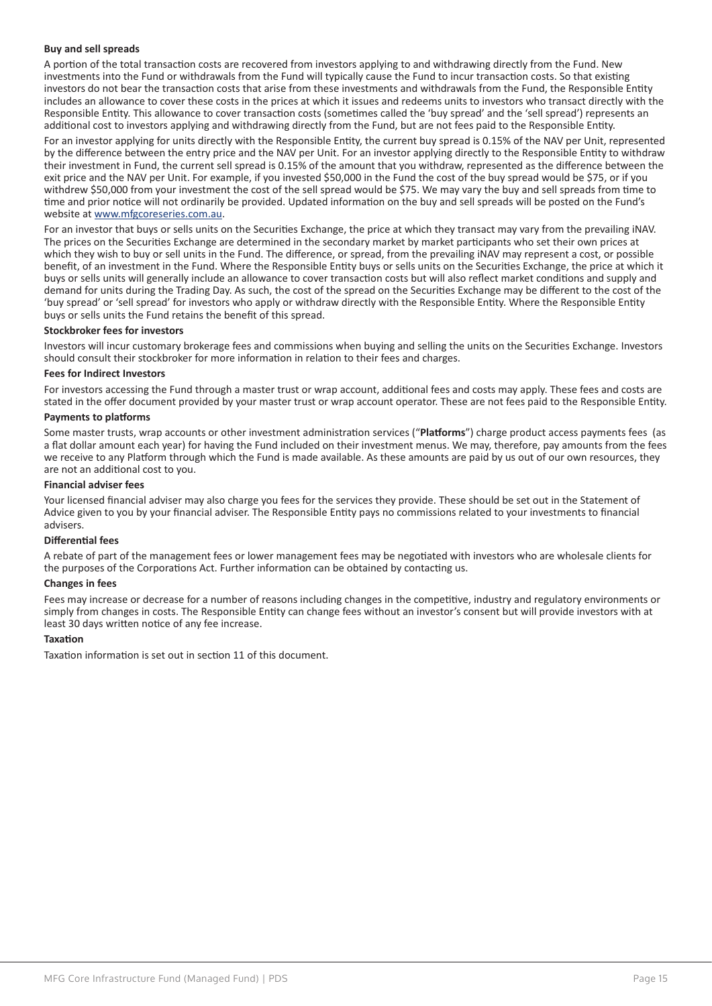#### **Buy and sell spreads**

A portion of the total transaction costs are recovered from investors applying to and withdrawing directly from the Fund. New investments into the Fund or withdrawals from the Fund will typically cause the Fund to incur transaction costs. So that existing investors do not bear the transaction costs that arise from these investments and withdrawals from the Fund, the Responsible Entity includes an allowance to cover these costs in the prices at which it issues and redeems units to investors who transact directly with the Responsible Entity. This allowance to cover transaction costs (sometimes called the 'buy spread' and the 'sell spread') represents an additional cost to investors applying and withdrawing directly from the Fund, but are not fees paid to the Responsible Entity.

For an investor applying for units directly with the Responsible Entity, the current buy spread is 0.15% of the NAV per Unit, represented by the difference between the entry price and the NAV per Unit. For an investor applying directly to the Responsible Entity to withdraw their investment in Fund, the current sell spread is 0.15% of the amount that you withdraw, represented as the difference between the exit price and the NAV per Unit. For example, if you invested \$50,000 in the Fund the cost of the buy spread would be \$75, or if you withdrew \$50,000 from your investment the cost of the sell spread would be \$75. We may vary the buy and sell spreads from time to time and prior notice will not ordinarily be provided. Updated information on the buy and sell spreads will be posted on the Fund's website at www.mfgcoreseries.com.au.

For an investor that buys or sells units on the Securities Exchange, the price at which they transact may vary from the prevailing iNAV. The prices on the Securities Exchange are determined in the secondary market by market participants who set their own prices at which they wish to buy or sell units in the Fund. The difference, or spread, from the prevailing iNAV may represent a cost, or possible benefit, of an investment in the Fund. Where the Responsible Entity buys or sells units on the Securities Exchange, the price at which it buys or sells units will generally include an allowance to cover transaction costs but will also reflect market conditions and supply and demand for units during the Trading Day. As such, the cost of the spread on the Securities Exchange may be different to the cost of the 'buy spread' or 'sell spread' for investors who apply or withdraw directly with the Responsible Entity. Where the Responsible Entity buys or sells units the Fund retains the benefit of this spread.

#### **Stockbroker fees for investors**

Investors will incur customary brokerage fees and commissions when buying and selling the units on the Securities Exchange. Investors should consult their stockbroker for more information in relation to their fees and charges.

#### **Fees for Indirect Investors**

For investors accessing the Fund through a master trust or wrap account, additional fees and costs may apply. These fees and costs are stated in the offer document provided by your master trust or wrap account operator. These are not fees paid to the Responsible Entity.

#### **Payments to platforms**

Some master trusts, wrap accounts or other investment administration services ("**Platforms**") charge product access payments fees (as a flat dollar amount each year) for having the Fund included on their investment menus. We may, therefore, pay amounts from the fees we receive to any Platform through which the Fund is made available. As these amounts are paid by us out of our own resources, they are not an additional cost to you.

#### **Financial adviser fees**

Your licensed financial adviser may also charge you fees for the services they provide. These should be set out in the Statement of Advice given to you by your financial adviser. The Responsible Entity pays no commissions related to your investments to financial advisers.

#### **Differential fees**

A rebate of part of the management fees or lower management fees may be negotiated with investors who are wholesale clients for the purposes of the Corporations Act. Further information can be obtained by contacting us.

#### **Changes in fees**

Fees may increase or decrease for a number of reasons including changes in the competitive, industry and regulatory environments or simply from changes in costs. The Responsible Entity can change fees without an investor's consent but will provide investors with at least 30 days written notice of any fee increase.

#### **Taxation**

Taxation information is set out in section 11 of this document.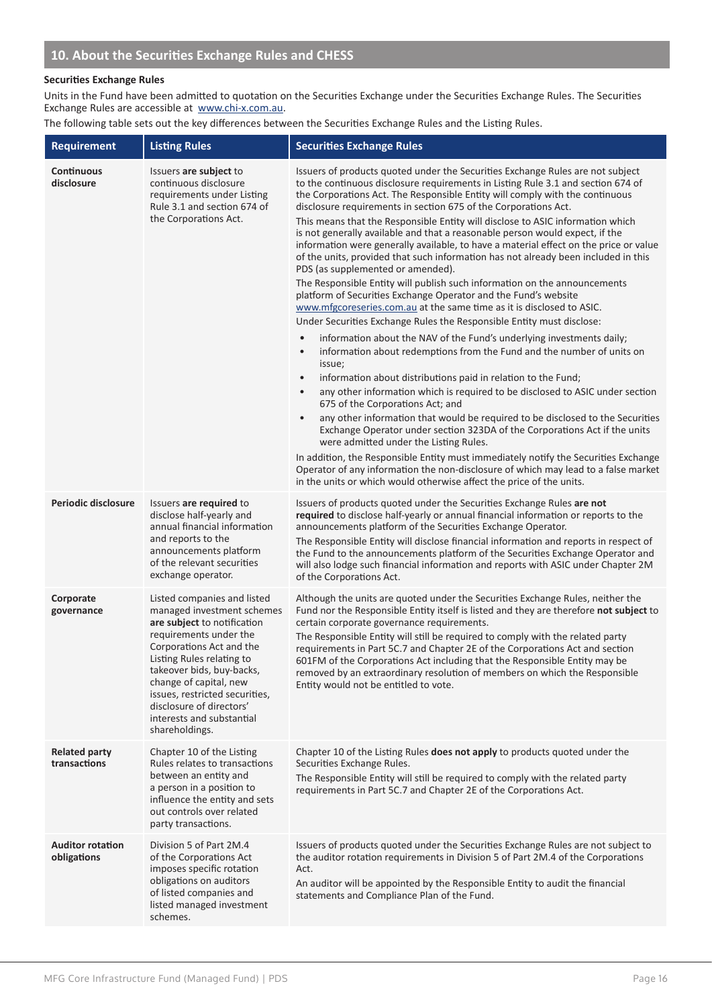#### **Securities Exchange Rules**

Units in the Fund have been admitted to quotation on the Securities Exchange under the Securities Exchange Rules. The Securities Exchange Rules are accessible at www.chi-x.com.au.

The following table sets out the key differences between the Securities Exchange Rules and the Listing Rules.

| <b>Requirement</b>                     | <b>Listing Rules</b>                                                                                                                                                                                                                                                                                                                            | <b>Securities Exchange Rules</b>                                                                                                                                                                                                                                                                                                                                                                                                                                                                                                                                                                                                                                                                                                                                                                                                                                                                                                                                                                                                                                                                                                                                                                                                                                                                                                                                                                                                                                                                                                                                                                                                                                                                                                                                                                                                                          |
|----------------------------------------|-------------------------------------------------------------------------------------------------------------------------------------------------------------------------------------------------------------------------------------------------------------------------------------------------------------------------------------------------|-----------------------------------------------------------------------------------------------------------------------------------------------------------------------------------------------------------------------------------------------------------------------------------------------------------------------------------------------------------------------------------------------------------------------------------------------------------------------------------------------------------------------------------------------------------------------------------------------------------------------------------------------------------------------------------------------------------------------------------------------------------------------------------------------------------------------------------------------------------------------------------------------------------------------------------------------------------------------------------------------------------------------------------------------------------------------------------------------------------------------------------------------------------------------------------------------------------------------------------------------------------------------------------------------------------------------------------------------------------------------------------------------------------------------------------------------------------------------------------------------------------------------------------------------------------------------------------------------------------------------------------------------------------------------------------------------------------------------------------------------------------------------------------------------------------------------------------------------------------|
| <b>Continuous</b><br>disclosure        | Issuers are subject to<br>continuous disclosure<br>requirements under Listing<br>Rule 3.1 and section 674 of<br>the Corporations Act.                                                                                                                                                                                                           | Issuers of products quoted under the Securities Exchange Rules are not subject<br>to the continuous disclosure requirements in Listing Rule 3.1 and section 674 of<br>the Corporations Act. The Responsible Entity will comply with the continuous<br>disclosure requirements in section 675 of the Corporations Act.<br>This means that the Responsible Entity will disclose to ASIC information which<br>is not generally available and that a reasonable person would expect, if the<br>information were generally available, to have a material effect on the price or value<br>of the units, provided that such information has not already been included in this<br>PDS (as supplemented or amended).<br>The Responsible Entity will publish such information on the announcements<br>platform of Securities Exchange Operator and the Fund's website<br>www.mfgcoreseries.com.au at the same time as it is disclosed to ASIC.<br>Under Securities Exchange Rules the Responsible Entity must disclose:<br>information about the NAV of the Fund's underlying investments daily;<br>$\bullet$<br>information about redemptions from the Fund and the number of units on<br>issue;<br>information about distributions paid in relation to the Fund;<br>$\bullet$<br>any other information which is required to be disclosed to ASIC under section<br>675 of the Corporations Act; and<br>any other information that would be required to be disclosed to the Securities<br>Exchange Operator under section 323DA of the Corporations Act if the units<br>were admitted under the Listing Rules.<br>In addition, the Responsible Entity must immediately notify the Securities Exchange<br>Operator of any information the non-disclosure of which may lead to a false market<br>in the units or which would otherwise affect the price of the units. |
| Periodic disclosure                    | Issuers are required to<br>disclose half-yearly and<br>annual financial information<br>and reports to the<br>announcements platform<br>of the relevant securities<br>exchange operator.                                                                                                                                                         | Issuers of products quoted under the Securities Exchange Rules are not<br>required to disclose half-yearly or annual financial information or reports to the<br>announcements platform of the Securities Exchange Operator.<br>The Responsible Entity will disclose financial information and reports in respect of<br>the Fund to the announcements platform of the Securities Exchange Operator and<br>will also lodge such financial information and reports with ASIC under Chapter 2M<br>of the Corporations Act.                                                                                                                                                                                                                                                                                                                                                                                                                                                                                                                                                                                                                                                                                                                                                                                                                                                                                                                                                                                                                                                                                                                                                                                                                                                                                                                                    |
| Corporate<br>governance                | Listed companies and listed<br>managed investment schemes<br>are subject to notification<br>requirements under the<br>Corporations Act and the<br>Listing Rules relating to<br>takeover bids, buy-backs,<br>change of capital, new<br>issues, restricted securities,<br>disclosure of directors'<br>interests and substantial<br>shareholdings. | Although the units are quoted under the Securities Exchange Rules, neither the<br>Fund nor the Responsible Entity itself is listed and they are therefore not subject to<br>certain corporate governance requirements.<br>The Responsible Entity will still be required to comply with the related party<br>requirements in Part 5C.7 and Chapter 2E of the Corporations Act and section<br>601FM of the Corporations Act including that the Responsible Entity may be<br>removed by an extraordinary resolution of members on which the Responsible<br>Entity would not be entitled to vote.                                                                                                                                                                                                                                                                                                                                                                                                                                                                                                                                                                                                                                                                                                                                                                                                                                                                                                                                                                                                                                                                                                                                                                                                                                                             |
| <b>Related party</b><br>transactions   | Chapter 10 of the Listing<br>Rules relates to transactions<br>between an entity and<br>a person in a position to<br>influence the entity and sets<br>out controls over related<br>party transactions.                                                                                                                                           | Chapter 10 of the Listing Rules does not apply to products quoted under the<br>Securities Exchange Rules.<br>The Responsible Entity will still be required to comply with the related party<br>requirements in Part 5C.7 and Chapter 2E of the Corporations Act.                                                                                                                                                                                                                                                                                                                                                                                                                                                                                                                                                                                                                                                                                                                                                                                                                                                                                                                                                                                                                                                                                                                                                                                                                                                                                                                                                                                                                                                                                                                                                                                          |
| <b>Auditor rotation</b><br>obligations | Division 5 of Part 2M.4<br>of the Corporations Act<br>imposes specific rotation<br>obligations on auditors<br>of listed companies and<br>listed managed investment<br>schemes.                                                                                                                                                                  | Issuers of products quoted under the Securities Exchange Rules are not subject to<br>the auditor rotation requirements in Division 5 of Part 2M.4 of the Corporations<br>Act.<br>An auditor will be appointed by the Responsible Entity to audit the financial<br>statements and Compliance Plan of the Fund.                                                                                                                                                                                                                                                                                                                                                                                                                                                                                                                                                                                                                                                                                                                                                                                                                                                                                                                                                                                                                                                                                                                                                                                                                                                                                                                                                                                                                                                                                                                                             |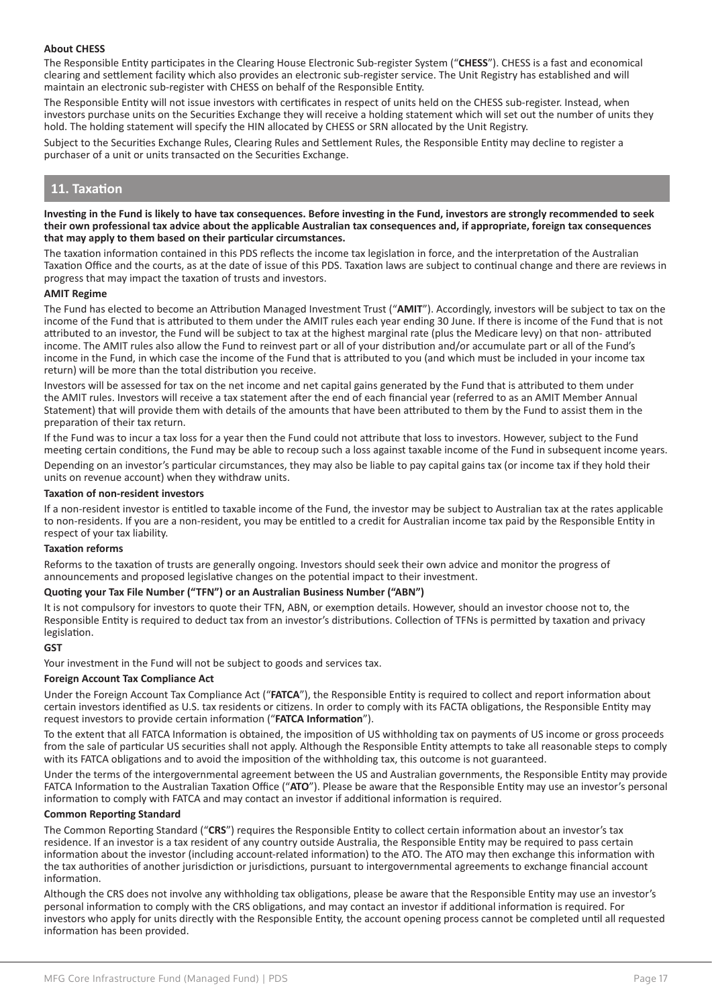#### **About CHESS**

The Responsible Entity participates in the Clearing House Electronic Sub-register System ("**CHESS**"). CHESS is a fast and economical clearing and settlement facility which also provides an electronic sub-register service. The Unit Registry has established and will maintain an electronic sub-register with CHESS on behalf of the Responsible Entity.

The Responsible Entity will not issue investors with certificates in respect of units held on the CHESS sub-register. Instead, when investors purchase units on the Securities Exchange they will receive a holding statement which will set out the number of units they hold. The holding statement will specify the HIN allocated by CHESS or SRN allocated by the Unit Registry.

Subject to the Securities Exchange Rules, Clearing Rules and Settlement Rules, the Responsible Entity may decline to register a purchaser of a unit or units transacted on the Securities Exchange.

## **11. Taxation**

#### **Investing in the Fund is likely to have tax consequences. Before investing in the Fund, investors are strongly recommended to seek their own professional tax advice about the applicable Australian tax consequences and, if appropriate, foreign tax consequences that may apply to them based on their particular circumstances.**

The taxation information contained in this PDS reflects the income tax legislation in force, and the interpretation of the Australian Taxation Office and the courts, as at the date of issue of this PDS. Taxation laws are subject to continual change and there are reviews in progress that may impact the taxation of trusts and investors.

#### **AMIT Regime**

The Fund has elected to become an Attribution Managed Investment Trust ("**AMIT**"). Accordingly, investors will be subject to tax on the income of the Fund that is attributed to them under the AMIT rules each year ending 30 June. If there is income of the Fund that is not attributed to an investor, the Fund will be subject to tax at the highest marginal rate (plus the Medicare levy) on that non- attributed income. The AMIT rules also allow the Fund to reinvest part or all of your distribution and/or accumulate part or all of the Fund's income in the Fund, in which case the income of the Fund that is attributed to you (and which must be included in your income tax return) will be more than the total distribution you receive.

Investors will be assessed for tax on the net income and net capital gains generated by the Fund that is attributed to them under the AMIT rules. Investors will receive a tax statement after the end of each financial year (referred to as an AMIT Member Annual Statement) that will provide them with details of the amounts that have been attributed to them by the Fund to assist them in the preparation of their tax return.

If the Fund was to incur a tax loss for a year then the Fund could not attribute that loss to investors. However, subject to the Fund meeting certain conditions, the Fund may be able to recoup such a loss against taxable income of the Fund in subsequent income years. Depending on an investor's particular circumstances, they may also be liable to pay capital gains tax (or income tax if they hold their units on revenue account) when they withdraw units.

#### **Taxation of non-resident investors**

If a non-resident investor is entitled to taxable income of the Fund, the investor may be subject to Australian tax at the rates applicable to non-residents. If you are a non-resident, you may be entitled to a credit for Australian income tax paid by the Responsible Entity in respect of your tax liability.

#### **Taxation reforms**

Reforms to the taxation of trusts are generally ongoing. Investors should seek their own advice and monitor the progress of announcements and proposed legislative changes on the potential impact to their investment.

#### **Quoting your Tax File Number ("TFN") or an Australian Business Number ("ABN")**

It is not compulsory for investors to quote their TFN, ABN, or exemption details. However, should an investor choose not to, the Responsible Entity is required to deduct tax from an investor's distributions. Collection of TFNs is permitted by taxation and privacy legislation.

#### **GST**

Your investment in the Fund will not be subject to goods and services tax.

#### **Foreign Account Tax Compliance Act**

Under the Foreign Account Tax Compliance Act ("**FATCA**"), the Responsible Entity is required to collect and report information about certain investors identified as U.S. tax residents or citizens. In order to comply with its FACTA obligations, the Responsible Entity may request investors to provide certain information ("**FATCA Information**").

To the extent that all FATCA Information is obtained, the imposition of US withholding tax on payments of US income or gross proceeds from the sale of particular US securities shall not apply. Although the Responsible Entity attempts to take all reasonable steps to comply with its FATCA obligations and to avoid the imposition of the withholding tax, this outcome is not guaranteed.

Under the terms of the intergovernmental agreement between the US and Australian governments, the Responsible Entity may provide FATCA Information to the Australian Taxation Office ("**ATO**"). Please be aware that the Responsible Entity may use an investor's personal information to comply with FATCA and may contact an investor if additional information is required.

#### **Common Reporting Standard**

The Common Reporting Standard ("**CRS**") requires the Responsible Entity to collect certain information about an investor's tax residence. If an investor is a tax resident of any country outside Australia, the Responsible Entity may be required to pass certain information about the investor (including account-related information) to the ATO. The ATO may then exchange this information with the tax authorities of another jurisdiction or jurisdictions, pursuant to intergovernmental agreements to exchange financial account information.

Although the CRS does not involve any withholding tax obligations, please be aware that the Responsible Entity may use an investor's personal information to comply with the CRS obligations, and may contact an investor if additional information is required. For investors who apply for units directly with the Responsible Entity, the account opening process cannot be completed until all requested information has been provided.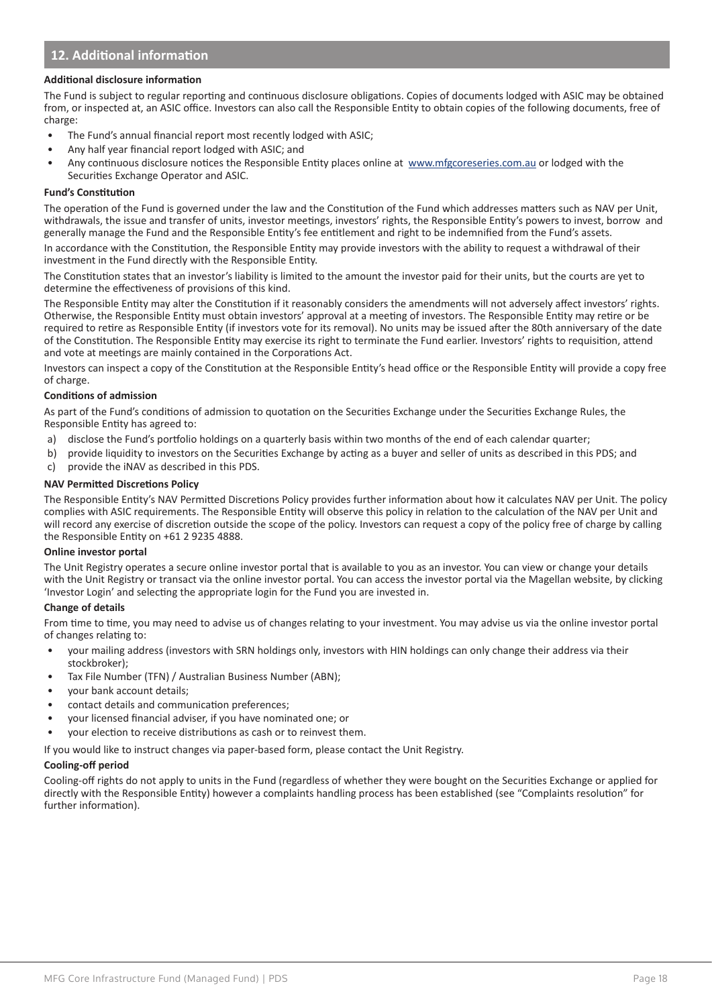## **12. Additional information**

#### **Additional disclosure information**

The Fund is subject to regular reporting and continuous disclosure obligations. Copies of documents lodged with ASIC may be obtained from, or inspected at, an ASIC office. Investors can also call the Responsible Entity to obtain copies of the following documents, free of charge:

- The Fund's annual financial report most recently lodged with ASIC;
- Any half year financial report lodged with ASIC; and
- Any continuous disclosure notices the Responsible Entity places online at www.mfgcoreseries.com.au or lodged with the Securities Exchange Operator and ASIC.

#### **Fund's Constitution**

The operation of the Fund is governed under the law and the Constitution of the Fund which addresses matters such as NAV per Unit, withdrawals, the issue and transfer of units, investor meetings, investors' rights, the Responsible Entity's powers to invest, borrow and generally manage the Fund and the Responsible Entity's fee entitlement and right to be indemnified from the Fund's assets.

In accordance with the Constitution, the Responsible Entity may provide investors with the ability to request a withdrawal of their investment in the Fund directly with the Responsible Entity.

The Constitution states that an investor's liability is limited to the amount the investor paid for their units, but the courts are yet to determine the effectiveness of provisions of this kind.

The Responsible Entity may alter the Constitution if it reasonably considers the amendments will not adversely affect investors' rights. Otherwise, the Responsible Entity must obtain investors' approval at a meeting of investors. The Responsible Entity may retire or be required to retire as Responsible Entity (if investors vote for its removal). No units may be issued after the 80th anniversary of the date of the Constitution. The Responsible Entity may exercise its right to terminate the Fund earlier. Investors' rights to requisition, attend and vote at meetings are mainly contained in the Corporations Act.

Investors can inspect a copy of the Constitution at the Responsible Entity's head office or the Responsible Entity will provide a copy free of charge.

#### **Conditions of admission**

As part of the Fund's conditions of admission to quotation on the Securities Exchange under the Securities Exchange Rules, the Responsible Entity has agreed to:

- a) disclose the Fund's portfolio holdings on a quarterly basis within two months of the end of each calendar quarter;
- b) provide liquidity to investors on the Securities Exchange by acting as a buyer and seller of units as described in this PDS; and
- c) provide the iNAV as described in this PDS.

#### **NAV Permitted Discretions Policy**

The Responsible Entity's NAV Permitted Discretions Policy provides further information about how it calculates NAV per Unit. The policy complies with ASIC requirements. The Responsible Entity will observe this policy in relation to the calculation of the NAV per Unit and will record any exercise of discretion outside the scope of the policy. Investors can request a copy of the policy free of charge by calling the Responsible Entity on +61 2 9235 4888.

#### **Online investor portal**

The Unit Registry operates a secure online investor portal that is available to you as an investor. You can view or change your details with the Unit Registry or transact via the online investor portal. You can access the investor portal via the Magellan website, by clicking 'Investor Login' and selecting the appropriate login for the Fund you are invested in.

#### **Change of details**

From time to time, you may need to advise us of changes relating to your investment. You may advise us via the online investor portal of changes relating to:

- your mailing address (investors with SRN holdings only, investors with HIN holdings can only change their address via their stockbroker);
- Tax File Number (TFN) / Australian Business Number (ABN);
- your bank account details;
- contact details and communication preferences;
- your licensed financial adviser, if you have nominated one; or
- your election to receive distributions as cash or to reinvest them.
- If you would like to instruct changes via paper-based form, please contact the Unit Registry.

#### **Cooling-off period**

Cooling-off rights do not apply to units in the Fund (regardless of whether they were bought on the Securities Exchange or applied for directly with the Responsible Entity) however a complaints handling process has been established (see "Complaints resolution" for further information).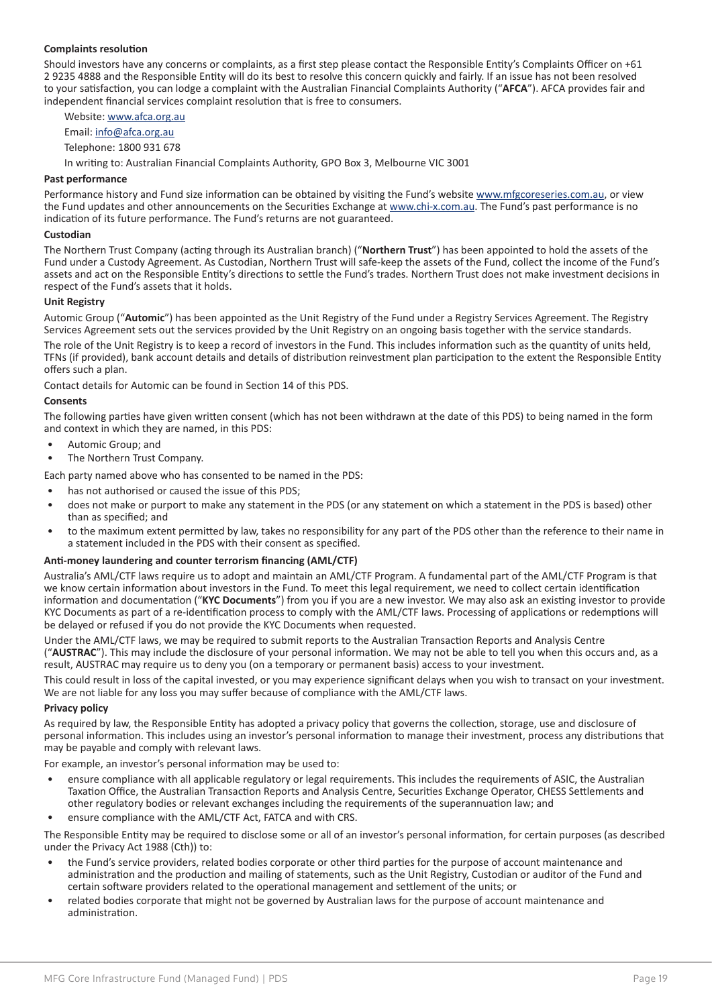#### **Complaints resolution**

Should investors have any concerns or complaints, as a first step please contact the Responsible Entity's Complaints Officer on +61 2 9235 4888 and the Responsible Entity will do its best to resolve this concern quickly and fairly. If an issue has not been resolved to your satisfaction, you can lodge a complaint with the Australian Financial Complaints Authority ("**AFCA**"). AFCA provides fair and independent financial services complaint resolution that is free to consumers.

Website: www.afca.org.au

Email: info@afca.org.au

Telephone: 1800 931 678

In writing to: Australian Financial Complaints Authority, GPO Box 3, Melbourne VIC 3001

#### **Past performance**

Performance history and Fund size information can be obtained by visiting the Fund's website www.mfgcoreseries.com.au, or view the Fund updates and other announcements on the Securities Exchange at www.chi-x.com.au. The Fund's past performance is no indication of its future performance. The Fund's returns are not guaranteed.

#### **Custodian**

The Northern Trust Company (acting through its Australian branch) ("**Northern Trust**") has been appointed to hold the assets of the Fund under a Custody Agreement. As Custodian, Northern Trust will safe-keep the assets of the Fund, collect the income of the Fund's assets and act on the Responsible Entity's directions to settle the Fund's trades. Northern Trust does not make investment decisions in respect of the Fund's assets that it holds.

#### **Unit Registry**

Automic Group ("**Automic**") has been appointed as the Unit Registry of the Fund under a Registry Services Agreement. The Registry Services Agreement sets out the services provided by the Unit Registry on an ongoing basis together with the service standards.

The role of the Unit Registry is to keep a record of investors in the Fund. This includes information such as the quantity of units held, TFNs (if provided), bank account details and details of distribution reinvestment plan participation to the extent the Responsible Entity offers such a plan.

Contact details for Automic can be found in Section 14 of this PDS.

#### **Consents**

The following parties have given written consent (which has not been withdrawn at the date of this PDS) to being named in the form and context in which they are named, in this PDS:

- Automic Group; and
- The Northern Trust Company.

Each party named above who has consented to be named in the PDS:

- has not authorised or caused the issue of this PDS;
- does not make or purport to make any statement in the PDS (or any statement on which a statement in the PDS is based) other than as specified; and
- to the maximum extent permitted by law, takes no responsibility for any part of the PDS other than the reference to their name in a statement included in the PDS with their consent as specified.

#### **Anti-money laundering and counter terrorism financing (AML/CTF)**

Australia's AML/CTF laws require us to adopt and maintain an AML/CTF Program. A fundamental part of the AML/CTF Program is that we know certain information about investors in the Fund. To meet this legal requirement, we need to collect certain identification information and documentation ("**KYC Documents**") from you if you are a new investor. We may also ask an existing investor to provide KYC Documents as part of a re-identification process to comply with the AML/CTF laws. Processing of applications or redemptions will be delayed or refused if you do not provide the KYC Documents when requested.

Under the AML/CTF laws, we may be required to submit reports to the Australian Transaction Reports and Analysis Centre ("**AUSTRAC**"). This may include the disclosure of your personal information. We may not be able to tell you when this occurs and, as a result, AUSTRAC may require us to deny you (on a temporary or permanent basis) access to your investment.

This could result in loss of the capital invested, or you may experience significant delays when you wish to transact on your investment. We are not liable for any loss you may suffer because of compliance with the AML/CTF laws.

#### **Privacy policy**

As required by law, the Responsible Entity has adopted a privacy policy that governs the collection, storage, use and disclosure of personal information. This includes using an investor's personal information to manage their investment, process any distributions that may be payable and comply with relevant laws.

For example, an investor's personal information may be used to:

- ensure compliance with all applicable regulatory or legal requirements. This includes the requirements of ASIC, the Australian Taxation Office, the Australian Transaction Reports and Analysis Centre, Securities Exchange Operator, CHESS Settlements and other regulatory bodies or relevant exchanges including the requirements of the superannuation law; and
- ensure compliance with the AML/CTF Act, FATCA and with CRS.

The Responsible Entity may be required to disclose some or all of an investor's personal information, for certain purposes (as described under the Privacy Act 1988 (Cth)) to:

- the Fund's service providers, related bodies corporate or other third parties for the purpose of account maintenance and administration and the production and mailing of statements, such as the Unit Registry, Custodian or auditor of the Fund and certain software providers related to the operational management and settlement of the units; or
- related bodies corporate that might not be governed by Australian laws for the purpose of account maintenance and administration.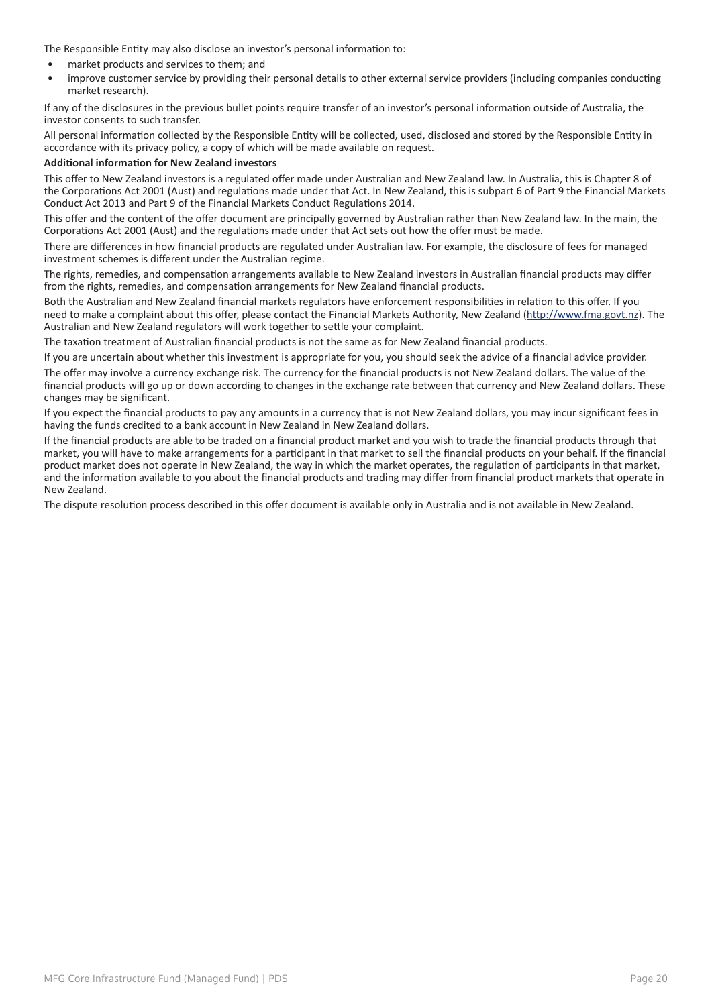The Responsible Entity may also disclose an investor's personal information to:

- market products and services to them; and
- improve customer service by providing their personal details to other external service providers (including companies conducting market research).

If any of the disclosures in the previous bullet points require transfer of an investor's personal information outside of Australia, the investor consents to such transfer.

All personal information collected by the Responsible Entity will be collected, used, disclosed and stored by the Responsible Entity in accordance with its privacy policy, a copy of which will be made available on request.

#### **Additional information for New Zealand investors**

This offer to New Zealand investors is a regulated offer made under Australian and New Zealand law. In Australia, this is Chapter 8 of the Corporations Act 2001 (Aust) and regulations made under that Act. In New Zealand, this is subpart 6 of Part 9 the Financial Markets Conduct Act 2013 and Part 9 of the Financial Markets Conduct Regulations 2014.

This offer and the content of the offer document are principally governed by Australian rather than New Zealand law. In the main, the Corporations Act 2001 (Aust) and the regulations made under that Act sets out how the offer must be made.

There are differences in how financial products are regulated under Australian law. For example, the disclosure of fees for managed investment schemes is different under the Australian regime.

The rights, remedies, and compensation arrangements available to New Zealand investors in Australian financial products may differ from the rights, remedies, and compensation arrangements for New Zealand financial products.

Both the Australian and New Zealand financial markets regulators have enforcement responsibilities in relation to this offer. If you need to make a complaint about this offer, please contact the Financial Markets Authority, New Zealand (http://www.fma.govt.nz). The Australian and New Zealand regulators will work together to settle your complaint.

The taxation treatment of Australian financial products is not the same as for New Zealand financial products.

If you are uncertain about whether this investment is appropriate for you, you should seek the advice of a financial advice provider.

The offer may involve a currency exchange risk. The currency for the financial products is not New Zealand dollars. The value of the financial products will go up or down according to changes in the exchange rate between that currency and New Zealand dollars. These changes may be significant.

If you expect the financial products to pay any amounts in a currency that is not New Zealand dollars, you may incur significant fees in having the funds credited to a bank account in New Zealand in New Zealand dollars.

If the financial products are able to be traded on a financial product market and you wish to trade the financial products through that market, you will have to make arrangements for a participant in that market to sell the financial products on your behalf. If the financial product market does not operate in New Zealand, the way in which the market operates, the regulation of participants in that market, and the information available to you about the financial products and trading may differ from financial product markets that operate in New Zealand.

The dispute resolution process described in this offer document is available only in Australia and is not available in New Zealand.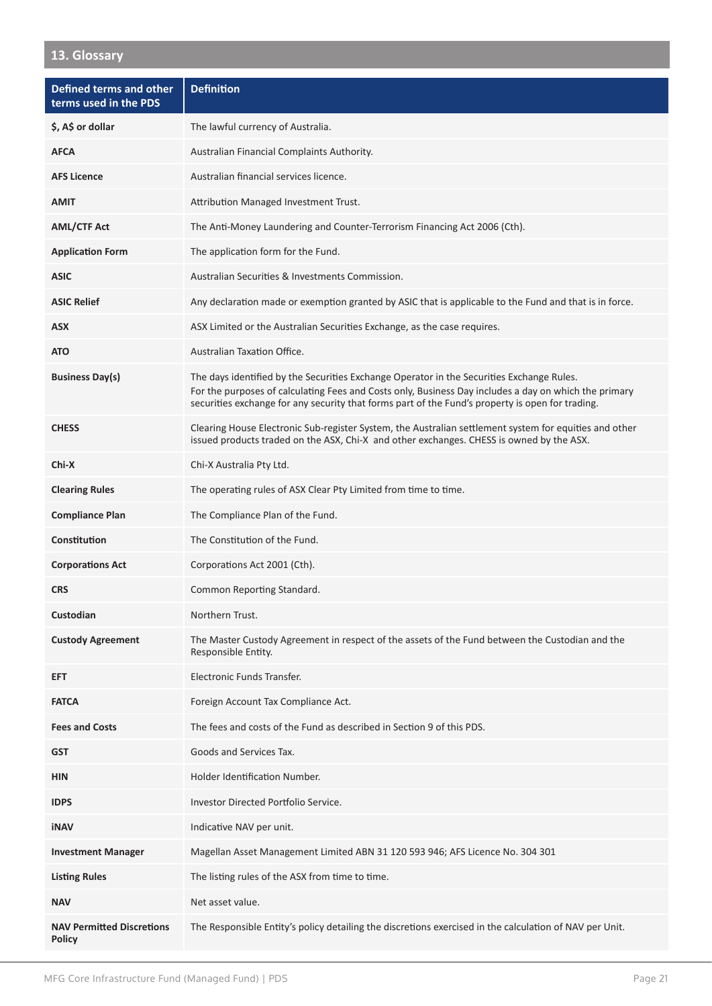## **13. Glossary**

| <b>Defined terms and other</b>                    | <b>Definition</b>                                                                                                                                                                                                                                                                                      |
|---------------------------------------------------|--------------------------------------------------------------------------------------------------------------------------------------------------------------------------------------------------------------------------------------------------------------------------------------------------------|
| terms used in the PDS                             |                                                                                                                                                                                                                                                                                                        |
| \$, A\$ or dollar                                 | The lawful currency of Australia.                                                                                                                                                                                                                                                                      |
| <b>AFCA</b>                                       | Australian Financial Complaints Authority.                                                                                                                                                                                                                                                             |
| <b>AFS Licence</b>                                | Australian financial services licence.                                                                                                                                                                                                                                                                 |
| <b>AMIT</b>                                       | Attribution Managed Investment Trust.                                                                                                                                                                                                                                                                  |
| <b>AML/CTF Act</b>                                | The Anti-Money Laundering and Counter-Terrorism Financing Act 2006 (Cth).                                                                                                                                                                                                                              |
| <b>Application Form</b>                           | The application form for the Fund.                                                                                                                                                                                                                                                                     |
| <b>ASIC</b>                                       | Australian Securities & Investments Commission.                                                                                                                                                                                                                                                        |
| <b>ASIC Relief</b>                                | Any declaration made or exemption granted by ASIC that is applicable to the Fund and that is in force.                                                                                                                                                                                                 |
| <b>ASX</b>                                        | ASX Limited or the Australian Securities Exchange, as the case requires.                                                                                                                                                                                                                               |
| <b>ATO</b>                                        | Australian Taxation Office.                                                                                                                                                                                                                                                                            |
| <b>Business Day(s)</b>                            | The days identified by the Securities Exchange Operator in the Securities Exchange Rules.<br>For the purposes of calculating Fees and Costs only, Business Day includes a day on which the primary<br>securities exchange for any security that forms part of the Fund's property is open for trading. |
| <b>CHESS</b>                                      | Clearing House Electronic Sub-register System, the Australian settlement system for equities and other<br>issued products traded on the ASX, Chi-X and other exchanges. CHESS is owned by the ASX.                                                                                                     |
| Chi-X                                             | Chi-X Australia Pty Ltd.                                                                                                                                                                                                                                                                               |
| <b>Clearing Rules</b>                             | The operating rules of ASX Clear Pty Limited from time to time.                                                                                                                                                                                                                                        |
| <b>Compliance Plan</b>                            | The Compliance Plan of the Fund.                                                                                                                                                                                                                                                                       |
| Constitution                                      | The Constitution of the Fund.                                                                                                                                                                                                                                                                          |
| <b>Corporations Act</b>                           | Corporations Act 2001 (Cth).                                                                                                                                                                                                                                                                           |
| <b>CRS</b>                                        | Common Reporting Standard.                                                                                                                                                                                                                                                                             |
| Custodian                                         | Northern Trust.                                                                                                                                                                                                                                                                                        |
| <b>Custody Agreement</b>                          | The Master Custody Agreement in respect of the assets of the Fund between the Custodian and the<br>Responsible Entity.                                                                                                                                                                                 |
| <b>EFT</b>                                        | Electronic Funds Transfer.                                                                                                                                                                                                                                                                             |
| <b>FATCA</b>                                      | Foreign Account Tax Compliance Act.                                                                                                                                                                                                                                                                    |
| <b>Fees and Costs</b>                             | The fees and costs of the Fund as described in Section 9 of this PDS.                                                                                                                                                                                                                                  |
| <b>GST</b>                                        | Goods and Services Tax.                                                                                                                                                                                                                                                                                |
| <b>HIN</b>                                        | Holder Identification Number.                                                                                                                                                                                                                                                                          |
| <b>IDPS</b>                                       | Investor Directed Portfolio Service.                                                                                                                                                                                                                                                                   |
| iNAV                                              | Indicative NAV per unit.                                                                                                                                                                                                                                                                               |
| <b>Investment Manager</b>                         | Magellan Asset Management Limited ABN 31 120 593 946; AFS Licence No. 304 301                                                                                                                                                                                                                          |
| <b>Listing Rules</b>                              | The listing rules of the ASX from time to time.                                                                                                                                                                                                                                                        |
| <b>NAV</b>                                        | Net asset value.                                                                                                                                                                                                                                                                                       |
| <b>NAV Permitted Discretions</b><br><b>Policy</b> | The Responsible Entity's policy detailing the discretions exercised in the calculation of NAV per Unit.                                                                                                                                                                                                |